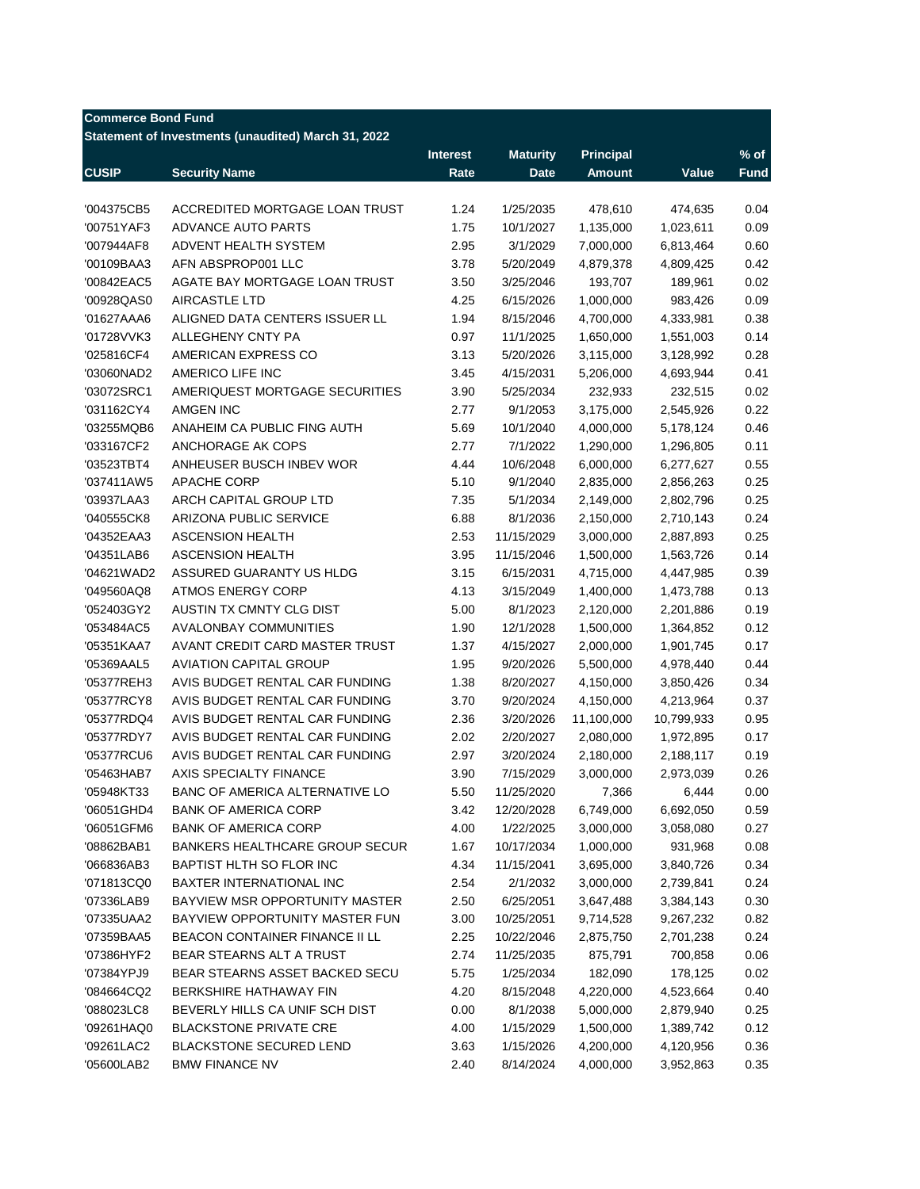| <b>Commerce Bond Fund</b> |                                                     |                 |                 |                  |            |             |
|---------------------------|-----------------------------------------------------|-----------------|-----------------|------------------|------------|-------------|
|                           | Statement of Investments (unaudited) March 31, 2022 |                 |                 |                  |            |             |
|                           |                                                     | <b>Interest</b> | <b>Maturity</b> | <b>Principal</b> |            | $%$ of      |
| <b>CUSIP</b>              | <b>Security Name</b>                                | Rate            | <b>Date</b>     | <b>Amount</b>    | Value      | <b>Fund</b> |
|                           |                                                     |                 |                 |                  |            |             |
| '004375CB5                | ACCREDITED MORTGAGE LOAN TRUST                      | 1.24            | 1/25/2035       | 478,610          | 474,635    | 0.04        |
| '00751YAF3                | <b>ADVANCE AUTO PARTS</b>                           | 1.75            | 10/1/2027       | 1,135,000        | 1,023,611  | 0.09        |
| '007944AF8                | ADVENT HEALTH SYSTEM                                | 2.95            | 3/1/2029        | 7,000,000        | 6,813,464  | 0.60        |
| '00109BAA3                | AFN ABSPROP001 LLC                                  | 3.78            | 5/20/2049       | 4,879,378        | 4,809,425  | 0.42        |
| '00842EAC5                | AGATE BAY MORTGAGE LOAN TRUST                       | 3.50            | 3/25/2046       | 193,707          | 189,961    | 0.02        |
| '00928QAS0                | <b>AIRCASTLE LTD</b>                                | 4.25            | 6/15/2026       | 1,000,000        | 983,426    | 0.09        |
| '01627AAA6                | ALIGNED DATA CENTERS ISSUER LL                      | 1.94            | 8/15/2046       | 4,700,000        | 4,333,981  | 0.38        |
| '01728VVK3                | ALLEGHENY CNTY PA                                   | 0.97            | 11/1/2025       | 1,650,000        | 1,551,003  | 0.14        |
| '025816CF4                | AMERICAN EXPRESS CO                                 | 3.13            | 5/20/2026       | 3,115,000        | 3,128,992  | 0.28        |
| '03060NAD2                | AMERICO LIFE INC                                    | 3.45            | 4/15/2031       | 5,206,000        | 4,693,944  | 0.41        |
| '03072SRC1                | AMERIQUEST MORTGAGE SECURITIES                      | 3.90            | 5/25/2034       | 232,933          | 232,515    | 0.02        |
| '031162CY4                | <b>AMGEN INC</b>                                    | 2.77            | 9/1/2053        | 3,175,000        | 2,545,926  | 0.22        |
| '03255MQB6                | ANAHEIM CA PUBLIC FING AUTH                         | 5.69            | 10/1/2040       | 4,000,000        | 5,178,124  | 0.46        |
| '033167CF2                | ANCHORAGE AK COPS                                   | 2.77            | 7/1/2022        | 1,290,000        | 1,296,805  | 0.11        |
| '03523TBT4                | ANHEUSER BUSCH INBEV WOR                            | 4.44            | 10/6/2048       | 6,000,000        | 6,277,627  | 0.55        |
| '037411AW5                | <b>APACHE CORP</b>                                  | 5.10            | 9/1/2040        | 2,835,000        | 2,856,263  | 0.25        |
| '03937LAA3                | ARCH CAPITAL GROUP LTD                              | 7.35            | 5/1/2034        | 2,149,000        | 2,802,796  | 0.25        |
| '040555CK8                | <b>ARIZONA PUBLIC SERVICE</b>                       | 6.88            | 8/1/2036        | 2,150,000        | 2,710,143  | 0.24        |
| '04352EAA3                | <b>ASCENSION HEALTH</b>                             | 2.53            | 11/15/2029      | 3,000,000        | 2,887,893  | 0.25        |
| '04351LAB6                | <b>ASCENSION HEALTH</b>                             | 3.95            | 11/15/2046      | 1,500,000        | 1,563,726  | 0.14        |
| '04621WAD2                | ASSURED GUARANTY US HLDG                            | 3.15            | 6/15/2031       | 4,715,000        | 4,447,985  | 0.39        |
| '049560AQ8                | <b>ATMOS ENERGY CORP</b>                            | 4.13            | 3/15/2049       | 1,400,000        | 1,473,788  | 0.13        |
| '052403GY2                | AUSTIN TX CMNTY CLG DIST                            | 5.00            | 8/1/2023        | 2,120,000        | 2,201,886  | 0.19        |
| '053484AC5                | <b>AVALONBAY COMMUNITIES</b>                        | 1.90            | 12/1/2028       | 1,500,000        | 1,364,852  | 0.12        |
| '05351KAA7                | AVANT CREDIT CARD MASTER TRUST                      | 1.37            | 4/15/2027       | 2,000,000        | 1,901,745  | 0.17        |
| '05369AAL5                | <b>AVIATION CAPITAL GROUP</b>                       | 1.95            | 9/20/2026       | 5,500,000        | 4,978,440  | 0.44        |
| '05377REH3                | AVIS BUDGET RENTAL CAR FUNDING                      | 1.38            | 8/20/2027       | 4,150,000        | 3,850,426  | 0.34        |
| '05377RCY8                | AVIS BUDGET RENTAL CAR FUNDING                      | 3.70            | 9/20/2024       | 4,150,000        | 4,213,964  | 0.37        |
| '05377RDQ4                | AVIS BUDGET RENTAL CAR FUNDING                      | 2.36            | 3/20/2026       | 11,100,000       | 10,799,933 | 0.95        |
| '05377RDY7                | AVIS BUDGET RENTAL CAR FUNDING                      | 2.02            | 2/20/2027       | 2,080,000        | 1,972,895  | 0.17        |
| '05377RCU6                | AVIS BUDGET RENTAL CAR FUNDING                      | 2.97            | 3/20/2024       | 2,180,000        | 2,188,117  | 0.19        |
| '05463HAB7                | AXIS SPECIALTY FINANCE                              | 3.90            | 7/15/2029       | 3,000,000        | 2,973,039  | 0.26        |
| '05948KT33                | BANC OF AMERICA ALTERNATIVE LO                      | 5.50            | 11/25/2020      | 7,366            | 6,444      | 0.00        |
| '06051GHD4                | <b>BANK OF AMERICA CORP</b>                         | 3.42            | 12/20/2028      | 6,749,000        | 6,692,050  | 0.59        |
| '06051GFM6                | <b>BANK OF AMERICA CORP</b>                         | 4.00            | 1/22/2025       | 3,000,000        | 3,058,080  | 0.27        |
|                           |                                                     |                 | 10/17/2034      |                  |            |             |
| '08862BAB1                | <b>BANKERS HEALTHCARE GROUP SECUR</b>               | 1.67            |                 | 1,000,000        | 931,968    | 0.08        |
| '066836AB3                | BAPTIST HLTH SO FLOR INC                            | 4.34            | 11/15/2041      | 3,695,000        | 3,840,726  | 0.34        |
| '071813CQ0                | BAXTER INTERNATIONAL INC                            | 2.54            | 2/1/2032        | 3,000,000        | 2,739,841  | 0.24        |
| '07336LAB9                | <b>BAYVIEW MSR OPPORTUNITY MASTER</b>               | 2.50            | 6/25/2051       | 3,647,488        | 3,384,143  | 0.30        |
| '07335UAA2                | BAYVIEW OPPORTUNITY MASTER FUN                      | 3.00            | 10/25/2051      | 9,714,528        | 9,267,232  | 0.82        |
| '07359BAA5                | BEACON CONTAINER FINANCE II LL                      | 2.25            | 10/22/2046      | 2,875,750        | 2,701,238  | 0.24        |
| '07386HYF2                | BEAR STEARNS ALT A TRUST                            | 2.74            | 11/25/2035      | 875,791          | 700,858    | 0.06        |
| '07384YPJ9                | BEAR STEARNS ASSET BACKED SECU                      | 5.75            | 1/25/2034       | 182,090          | 178,125    | 0.02        |
| '084664CQ2                | <b>BERKSHIRE HATHAWAY FIN</b>                       | 4.20            | 8/15/2048       | 4,220,000        | 4,523,664  | 0.40        |
| '088023LC8                | BEVERLY HILLS CA UNIF SCH DIST                      | 0.00            | 8/1/2038        | 5,000,000        | 2,879,940  | 0.25        |
| '09261HAQ0                | <b>BLACKSTONE PRIVATE CRE</b>                       | 4.00            | 1/15/2029       | 1,500,000        | 1,389,742  | 0.12        |
| '09261LAC2                | <b>BLACKSTONE SECURED LEND</b>                      | 3.63            | 1/15/2026       | 4,200,000        | 4,120,956  | 0.36        |
| '05600LAB2                | <b>BMW FINANCE NV</b>                               | 2.40            | 8/14/2024       | 4,000,000        | 3,952,863  | 0.35        |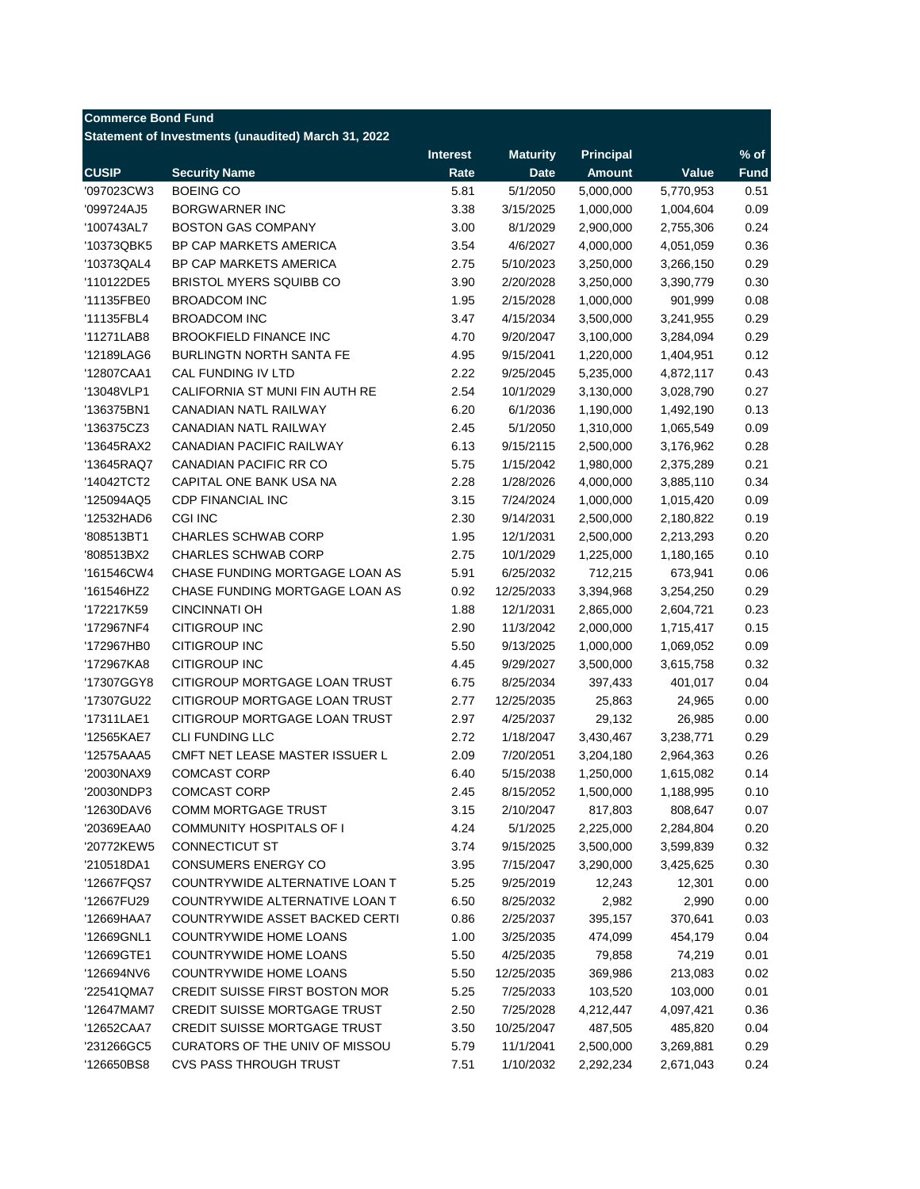| <b>Commerce Bond Fund</b> |                                                                            |                 |                 |                  |                   |             |
|---------------------------|----------------------------------------------------------------------------|-----------------|-----------------|------------------|-------------------|-------------|
|                           | Statement of Investments (unaudited) March 31, 2022                        |                 |                 |                  |                   |             |
|                           |                                                                            | <b>Interest</b> | <b>Maturity</b> | <b>Principal</b> |                   | $%$ of      |
| <b>CUSIP</b>              | <b>Security Name</b>                                                       | Rate            | <b>Date</b>     | <b>Amount</b>    | Value             | <b>Fund</b> |
| '097023CW3                | <b>BOEING CO</b>                                                           | 5.81            | 5/1/2050        | 5,000,000        | 5,770,953         | 0.51        |
| '099724AJ5                | <b>BORGWARNER INC</b>                                                      | 3.38            | 3/15/2025       | 1,000,000        | 1,004,604         | 0.09        |
| '100743AL7                | <b>BOSTON GAS COMPANY</b>                                                  | 3.00            | 8/1/2029        | 2,900,000        | 2,755,306         | 0.24        |
| '10373QBK5                | BP CAP MARKETS AMERICA                                                     | 3.54            | 4/6/2027        | 4,000,000        | 4,051,059         | 0.36        |
| '10373QAL4                | BP CAP MARKETS AMERICA                                                     | 2.75            | 5/10/2023       | 3,250,000        | 3,266,150         | 0.29        |
| '110122DE5                | BRISTOL MYERS SQUIBB CO                                                    | 3.90            | 2/20/2028       | 3,250,000        | 3,390,779         | 0.30        |
| '11135FBE0                | <b>BROADCOM INC</b>                                                        | 1.95            | 2/15/2028       | 1,000,000        | 901,999           | 0.08        |
| '11135FBL4                | <b>BROADCOM INC</b>                                                        | 3.47            | 4/15/2034       | 3,500,000        | 3,241,955         | 0.29        |
| '11271LAB8                | <b>BROOKFIELD FINANCE INC</b>                                              | 4.70            | 9/20/2047       | 3,100,000        | 3,284,094         | 0.29        |
| '12189LAG6                | <b>BURLINGTN NORTH SANTA FE</b>                                            | 4.95            | 9/15/2041       | 1,220,000        | 1,404,951         | 0.12        |
| '12807CAA1                | CAL FUNDING IV LTD                                                         | 2.22            | 9/25/2045       | 5,235,000        | 4,872,117         | 0.43        |
| '13048VLP1                | CALIFORNIA ST MUNI FIN AUTH RE                                             | 2.54            | 10/1/2029       | 3,130,000        | 3,028,790         | 0.27        |
| '136375BN1                | CANADIAN NATL RAILWAY                                                      | 6.20            | 6/1/2036        | 1,190,000        | 1,492,190         | 0.13        |
| '136375CZ3                | CANADIAN NATL RAILWAY                                                      | 2.45            | 5/1/2050        | 1,310,000        | 1,065,549         | 0.09        |
| '13645RAX2                | <b>CANADIAN PACIFIC RAILWAY</b>                                            | 6.13            | 9/15/2115       | 2,500,000        | 3,176,962         | 0.28        |
| '13645RAQ7                | CANADIAN PACIFIC RR CO                                                     | 5.75            | 1/15/2042       | 1,980,000        | 2,375,289         | 0.21        |
| '14042TCT2                | CAPITAL ONE BANK USA NA                                                    | 2.28            | 1/28/2026       | 4,000,000        | 3,885,110         | 0.34        |
| '125094AQ5                | <b>CDP FINANCIAL INC</b>                                                   | 3.15            | 7/24/2024       | 1,000,000        | 1,015,420         | 0.09        |
| '12532HAD6                | <b>CGI INC</b>                                                             | 2.30            | 9/14/2031       | 2,500,000        | 2,180,822         | 0.19        |
| '808513BT1                | <b>CHARLES SCHWAB CORP</b>                                                 | 1.95            | 12/1/2031       | 2,500,000        | 2,213,293         | 0.20        |
| '808513BX2                | <b>CHARLES SCHWAB CORP</b>                                                 | 2.75            | 10/1/2029       | 1,225,000        | 1,180,165         | 0.10        |
| '161546CW4                | CHASE FUNDING MORTGAGE LOAN AS                                             | 5.91            | 6/25/2032       | 712,215          | 673,941           | 0.06        |
| '161546HZ2                | CHASE FUNDING MORTGAGE LOAN AS                                             | 0.92            | 12/25/2033      | 3,394,968        | 3,254,250         | 0.29        |
| '172217K59                | <b>CINCINNATI OH</b>                                                       | 1.88            | 12/1/2031       | 2,865,000        | 2,604,721         | 0.23        |
| '172967NF4                | CITIGROUP INC                                                              | 2.90            | 11/3/2042       | 2,000,000        | 1,715,417         | 0.15        |
| '172967HB0                | CITIGROUP INC                                                              | 5.50            | 9/13/2025       | 1,000,000        | 1,069,052         | 0.09        |
| '172967KA8                | CITIGROUP INC                                                              | 4.45            | 9/29/2027       | 3,500,000        | 3,615,758         | 0.32        |
| '17307GGY8                | CITIGROUP MORTGAGE LOAN TRUST                                              | 6.75            | 8/25/2034       | 397,433          | 401,017           | 0.04        |
| '17307GU22                | CITIGROUP MORTGAGE LOAN TRUST                                              | 2.77            | 12/25/2035      | 25,863           | 24,965            | 0.00        |
| '17311LAE1                | CITIGROUP MORTGAGE LOAN TRUST                                              | 2.97            | 4/25/2037       | 29,132           | 26,985            | 0.00        |
| '12565KAE7                | <b>CLI FUNDING LLC</b>                                                     | 2.72            | 1/18/2047       | 3,430,467        | 3,238,771         | 0.29        |
| '12575AAA5                | CMFT NET LEASE MASTER ISSUER L                                             | 2.09            | 7/20/2051       | 3,204,180        | 2,964,363         | 0.26        |
| '20030NAX9                | <b>COMCAST CORP</b>                                                        | 6.40            | 5/15/2038       | 1,250,000        | 1,615,082         | 0.14        |
| '20030NDP3                | <b>COMCAST CORP</b>                                                        | 2.45            | 8/15/2052       | 1,500,000        | 1,188,995         | 0.10        |
| '12630DAV6                | <b>COMM MORTGAGE TRUST</b>                                                 | 3.15            | 2/10/2047       | 817,803          | 808,647           | 0.07        |
| '20369EAA0                | COMMUNITY HOSPITALS OF I                                                   | 4.24            | 5/1/2025        | 2,225,000        | 2,284,804         | 0.20        |
| '20772KEW5                | CONNECTICUT ST                                                             | 3.74            | 9/15/2025       | 3,500,000        | 3,599,839         | 0.32        |
| '210518DA1                | CONSUMERS ENERGY CO                                                        | 3.95            | 7/15/2047       | 3,290,000        | 3,425,625         | 0.30        |
| '12667FQS7                | COUNTRYWIDE ALTERNATIVE LOAN T                                             | 5.25            | 9/25/2019       | 12,243           | 12,301            | 0.00        |
| '12667FU29                | COUNTRYWIDE ALTERNATIVE LOAN T                                             | 6.50            | 8/25/2032       | 2,982            | 2,990             | 0.00        |
| '12669HAA7                | COUNTRYWIDE ASSET BACKED CERTI                                             | 0.86            | 2/25/2037       | 395,157          | 370,641           | 0.03        |
| '12669GNL1                | COUNTRYWIDE HOME LOANS                                                     | 1.00            | 3/25/2035       | 474,099          |                   | 0.04        |
| '12669GTE1                | COUNTRYWIDE HOME LOANS                                                     | 5.50            | 4/25/2035       | 79,858           | 454,179<br>74,219 | 0.01        |
|                           | COUNTRYWIDE HOME LOANS                                                     | 5.50            |                 |                  |                   |             |
| '126694NV6                |                                                                            |                 | 12/25/2035      | 369,986          | 213,083           | 0.02        |
| '22541QMA7                | <b>CREDIT SUISSE FIRST BOSTON MOR</b>                                      | 5.25            | 7/25/2033       | 103,520          | 103,000           | 0.01        |
| '12647MAM7                | <b>CREDIT SUISSE MORTGAGE TRUST</b><br><b>CREDIT SUISSE MORTGAGE TRUST</b> | 2.50<br>3.50    | 7/25/2028       | 4,212,447        | 4,097,421         | 0.36        |
| '12652CAA7                |                                                                            |                 | 10/25/2047      | 487,505          | 485,820           | 0.04        |
| '231266GC5<br>'126650BS8  | CURATORS OF THE UNIV OF MISSOU<br><b>CVS PASS THROUGH TRUST</b>            | 5.79<br>7.51    | 11/1/2041       | 2,500,000        | 3,269,881         | 0.29        |
|                           |                                                                            |                 | 1/10/2032       | 2,292,234        | 2,671,043         | 0.24        |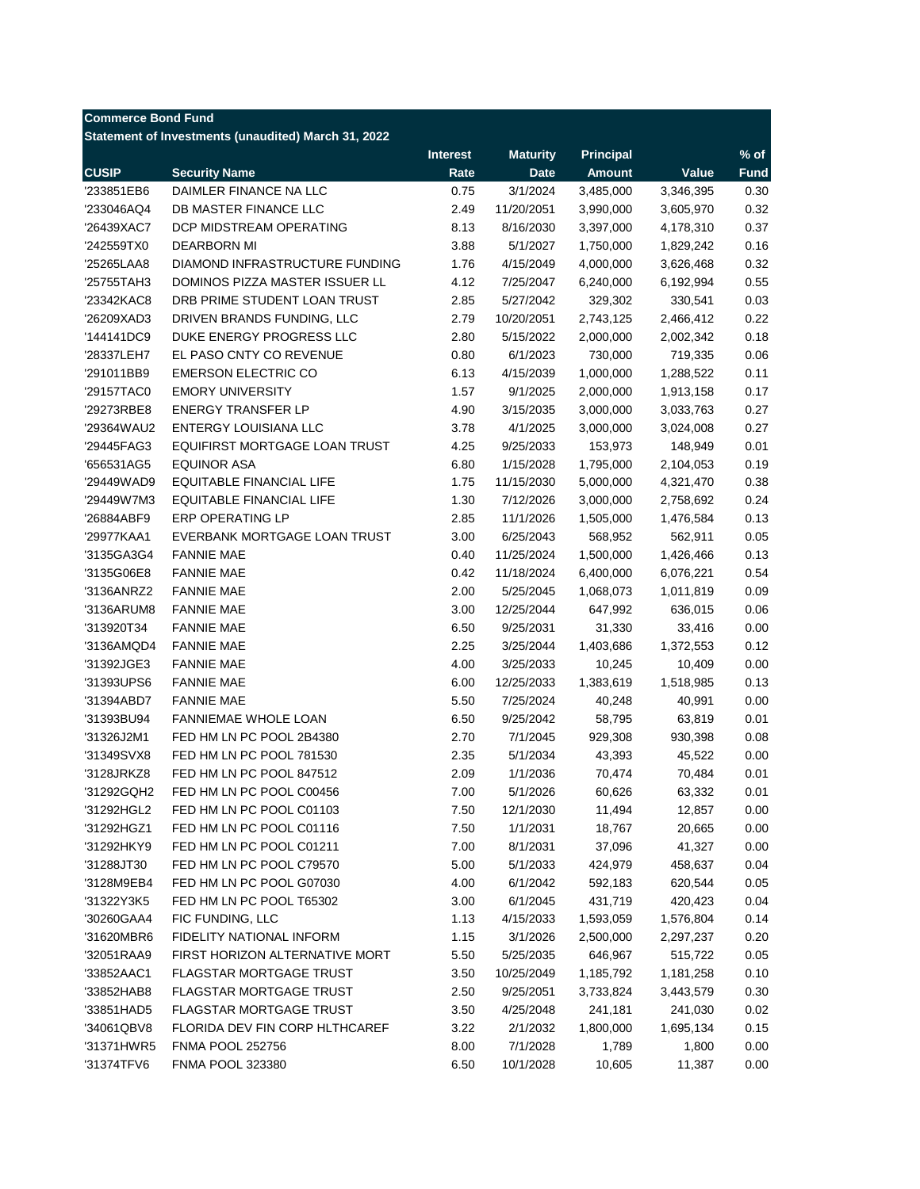| <b>Commerce Bond Fund</b> |                                                     |                 |                 |                  |           |             |
|---------------------------|-----------------------------------------------------|-----------------|-----------------|------------------|-----------|-------------|
|                           | Statement of Investments (unaudited) March 31, 2022 |                 |                 |                  |           |             |
|                           |                                                     | <b>Interest</b> | <b>Maturity</b> | <b>Principal</b> |           | $%$ of      |
| <b>CUSIP</b>              | <b>Security Name</b>                                | Rate            | <b>Date</b>     | <b>Amount</b>    | Value     | <b>Fund</b> |
| '233851EB6                | DAIMLER FINANCE NA LLC                              | 0.75            | 3/1/2024        | 3,485,000        | 3,346,395 | 0.30        |
| '233046AQ4                | DB MASTER FINANCE LLC                               | 2.49            | 11/20/2051      | 3,990,000        | 3,605,970 | 0.32        |
| '26439XAC7                | DCP MIDSTREAM OPERATING                             | 8.13            | 8/16/2030       | 3,397,000        | 4,178,310 | 0.37        |
| '242559TX0                | DEARBORN MI                                         | 3.88            | 5/1/2027        | 1,750,000        | 1,829,242 | 0.16        |
| '25265LAA8                | DIAMOND INFRASTRUCTURE FUNDING                      | 1.76            | 4/15/2049       | 4,000,000        | 3,626,468 | 0.32        |
| '25755TAH3                | DOMINOS PIZZA MASTER ISSUER LL                      | 4.12            | 7/25/2047       | 6,240,000        | 6,192,994 | 0.55        |
| '23342KAC8                | DRB PRIME STUDENT LOAN TRUST                        | 2.85            | 5/27/2042       | 329,302          | 330,541   | 0.03        |
| '26209XAD3                | DRIVEN BRANDS FUNDING, LLC                          | 2.79            | 10/20/2051      | 2,743,125        | 2,466,412 | 0.22        |
| '144141DC9                | DUKE ENERGY PROGRESS LLC                            | 2.80            | 5/15/2022       | 2,000,000        | 2,002,342 | 0.18        |
| '28337LEH7                | EL PASO CNTY CO REVENUE                             | 0.80            | 6/1/2023        | 730,000          | 719,335   | 0.06        |
| '291011BB9                | <b>EMERSON ELECTRIC CO</b>                          | 6.13            | 4/15/2039       | 1,000,000        | 1,288,522 | 0.11        |
| '29157TAC0                | <b>EMORY UNIVERSITY</b>                             | 1.57            | 9/1/2025        | 2,000,000        | 1,913,158 | 0.17        |
| '29273RBE8                | <b>ENERGY TRANSFER LP</b>                           | 4.90            | 3/15/2035       | 3,000,000        | 3,033,763 | 0.27        |
| '29364WAU2                | ENTERGY LOUISIANA LLC                               | 3.78            | 4/1/2025        | 3,000,000        | 3,024,008 | 0.27        |
| '29445FAG3                | EQUIFIRST MORTGAGE LOAN TRUST                       | 4.25            | 9/25/2033       | 153,973          | 148,949   | 0.01        |
| '656531AG5                | <b>EQUINOR ASA</b>                                  | 6.80            | 1/15/2028       | 1,795,000        | 2,104,053 | 0.19        |
| '29449WAD9                | <b>EQUITABLE FINANCIAL LIFE</b>                     | 1.75            | 11/15/2030      | 5,000,000        | 4,321,470 | 0.38        |
| '29449W7M3                | <b>EQUITABLE FINANCIAL LIFE</b>                     | 1.30            | 7/12/2026       | 3,000,000        | 2,758,692 | 0.24        |
| '26884ABF9                | <b>ERP OPERATING LP</b>                             | 2.85            | 11/1/2026       | 1,505,000        | 1,476,584 | 0.13        |
| '29977KAA1                | EVERBANK MORTGAGE LOAN TRUST                        | 3.00            | 6/25/2043       | 568,952          | 562,911   | 0.05        |
| '3135GA3G4                | <b>FANNIE MAE</b>                                   | 0.40            | 11/25/2024      | 1,500,000        | 1,426,466 | 0.13        |
| '3135G06E8                | <b>FANNIE MAE</b>                                   | 0.42            | 11/18/2024      | 6,400,000        | 6,076,221 | 0.54        |
| '3136ANRZ2                | <b>FANNIE MAE</b>                                   | 2.00            | 5/25/2045       | 1,068,073        | 1,011,819 | 0.09        |
| '3136ARUM8                | <b>FANNIE MAE</b>                                   | 3.00            | 12/25/2044      |                  |           | 0.06        |
| '313920T34                | <b>FANNIE MAE</b>                                   | 6.50            | 9/25/2031       | 647,992          | 636,015   | 0.00        |
|                           | <b>FANNIE MAE</b>                                   | 2.25            |                 | 31,330           | 33,416    | 0.12        |
| '3136AMQD4                |                                                     |                 | 3/25/2044       | 1,403,686        | 1,372,553 |             |
| '31392JGE3                | <b>FANNIE MAE</b>                                   | 4.00            | 3/25/2033       | 10,245           | 10,409    | 0.00        |
| '31393UPS6                | <b>FANNIE MAE</b>                                   | 6.00            | 12/25/2033      | 1,383,619        | 1,518,985 | 0.13        |
| '31394ABD7                | <b>FANNIE MAE</b>                                   | 5.50            | 7/25/2024       | 40,248           | 40,991    | 0.00        |
| '31393BU94                | <b>FANNIEMAE WHOLE LOAN</b>                         | 6.50            | 9/25/2042       | 58,795           | 63,819    | 0.01        |
| '31326J2M1                | FED HM LN PC POOL 2B4380                            | 2.70            | 7/1/2045        | 929,308          | 930,398   | 0.08        |
| '31349SVX8                | FED HM LN PC POOL 781530                            | 2.35            | 5/1/2034        | 43,393           | 45,522    | 0.00        |
| '3128JRKZ8                | FED HM LN PC POOL 847512                            | 2.09            | 1/1/2036        | 70,474           | 70,484    | 0.01        |
| '31292GQH2                | FED HM LN PC POOL C00456                            | 7.00            | 5/1/2026        | 60,626           | 63,332    | 0.01        |
| '31292HGL2                | FED HM LN PC POOL C01103                            | 7.50            | 12/1/2030       | 11,494           | 12,857    | 0.00        |
| '31292HGZ1                | FED HM LN PC POOL C01116                            | 7.50            | 1/1/2031        | 18,767           | 20,665    | 0.00        |
| '31292HKY9                | FED HM LN PC POOL C01211                            | 7.00            | 8/1/2031        | 37,096           | 41,327    | 0.00        |
| '31288JT30                | FED HM LN PC POOL C79570                            | 5.00            | 5/1/2033        | 424,979          | 458,637   | 0.04        |
| '3128M9EB4                | FED HM LN PC POOL G07030                            | 4.00            | 6/1/2042        | 592,183          | 620,544   | 0.05        |
| '31322Y3K5                | FED HM LN PC POOL T65302                            | 3.00            | 6/1/2045        | 431,719          | 420,423   | 0.04        |
| '30260GAA4                | FIC FUNDING, LLC                                    | 1.13            | 4/15/2033       | 1,593,059        | 1,576,804 | 0.14        |
| '31620MBR6                | FIDELITY NATIONAL INFORM                            | 1.15            | 3/1/2026        | 2,500,000        | 2,297,237 | 0.20        |
| '32051RAA9                | FIRST HORIZON ALTERNATIVE MORT                      | 5.50            | 5/25/2035       | 646,967          | 515,722   | 0.05        |
| '33852AAC1                | <b>FLAGSTAR MORTGAGE TRUST</b>                      | 3.50            | 10/25/2049      | 1,185,792        | 1,181,258 | 0.10        |
| '33852HAB8                | FLAGSTAR MORTGAGE TRUST                             | 2.50            | 9/25/2051       | 3,733,824        | 3,443,579 | 0.30        |
| '33851HAD5                | FLAGSTAR MORTGAGE TRUST                             | 3.50            | 4/25/2048       | 241,181          | 241,030   | 0.02        |
| '34061QBV8                | FLORIDA DEV FIN CORP HLTHCAREF                      | 3.22            | 2/1/2032        | 1,800,000        | 1,695,134 | 0.15        |
| '31371HWR5                | <b>FNMA POOL 252756</b>                             | 8.00            | 7/1/2028        | 1,789            | 1,800     | 0.00        |
| '31374TFV6                | <b>FNMA POOL 323380</b>                             | 6.50            | 10/1/2028       | 10,605           | 11,387    | 0.00        |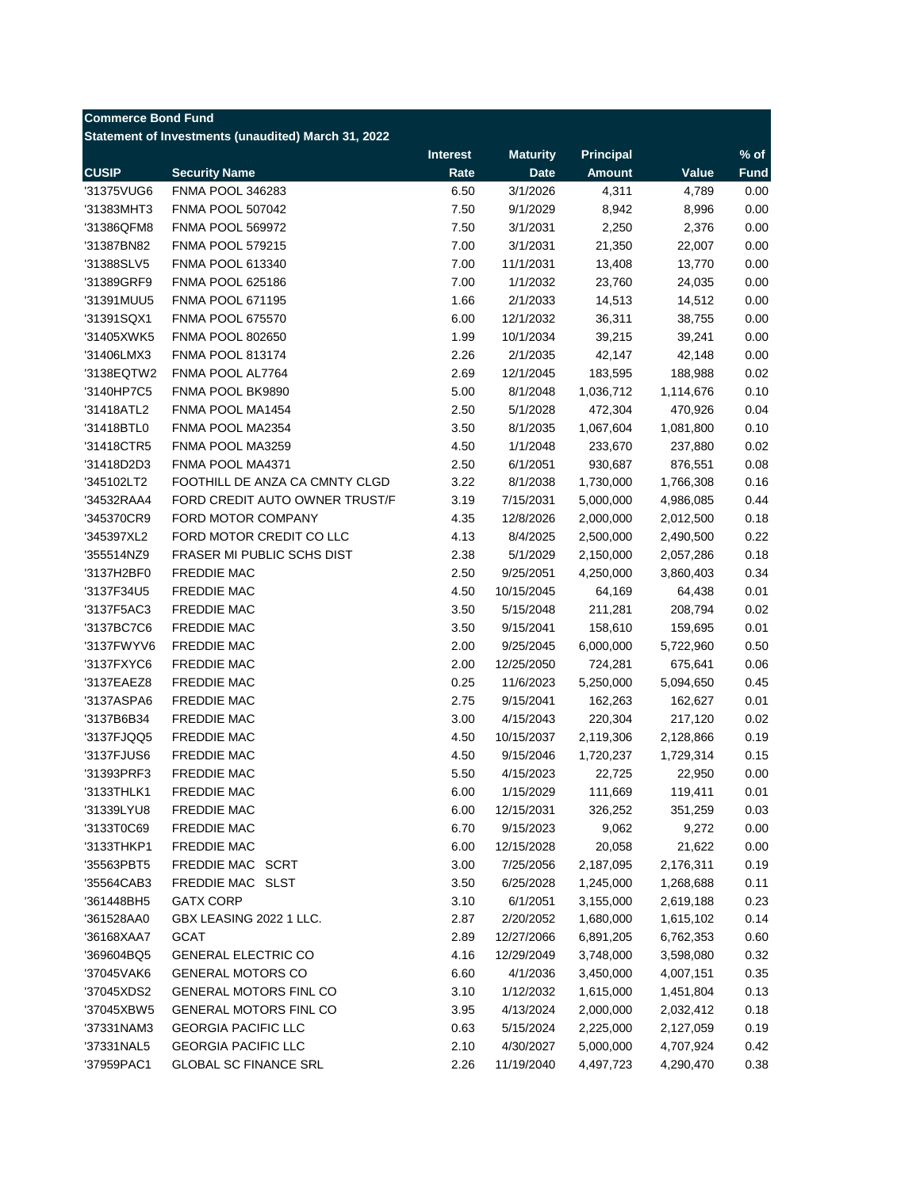| <b>Commerce Bond Fund</b> |                                                     |                 |                 |                        |           |             |
|---------------------------|-----------------------------------------------------|-----------------|-----------------|------------------------|-----------|-------------|
|                           | Statement of Investments (unaudited) March 31, 2022 |                 |                 |                        |           |             |
|                           |                                                     | <b>Interest</b> | <b>Maturity</b> | <b>Principal</b>       |           | $%$ of      |
| <b>CUSIP</b>              | <b>Security Name</b>                                | Rate            | <b>Date</b>     | <b>Amount</b>          | Value     | <b>Fund</b> |
| '31375VUG6                | <b>FNMA POOL 346283</b>                             | 6.50            | 3/1/2026        | 4,311                  | 4,789     | 0.00        |
| '31383MHT3                | <b>FNMA POOL 507042</b>                             | 7.50            | 9/1/2029        | 8,942                  | 8,996     | 0.00        |
| '31386QFM8                | <b>FNMA POOL 569972</b>                             | 7.50            | 3/1/2031        | 2,250                  | 2,376     | 0.00        |
| '31387BN82                | <b>FNMA POOL 579215</b>                             | 7.00            | 3/1/2031        | 21,350                 | 22,007    | 0.00        |
| '31388SLV5                | <b>FNMA POOL 613340</b>                             | 7.00            | 11/1/2031       | 13,408                 | 13,770    | 0.00        |
| '31389GRF9                | <b>FNMA POOL 625186</b>                             | 7.00            | 1/1/2032        | 23,760                 | 24,035    | 0.00        |
| '31391MUU5                | <b>FNMA POOL 671195</b>                             | 1.66            | 2/1/2033        | 14,513                 | 14,512    | 0.00        |
| '31391SQX1                | <b>FNMA POOL 675570</b>                             | 6.00            | 12/1/2032       | 36,311                 | 38,755    | 0.00        |
| '31405XWK5                | <b>FNMA POOL 802650</b>                             | 1.99            | 10/1/2034       | 39,215                 | 39,241    | 0.00        |
| '31406LMX3                | <b>FNMA POOL 813174</b>                             | 2.26            | 2/1/2035        | 42,147                 | 42,148    | 0.00        |
| '3138EQTW2                | FNMA POOL AL7764                                    | 2.69            | 12/1/2045       | 183,595                | 188,988   | 0.02        |
| '3140HP7C5                | FNMA POOL BK9890                                    | 5.00            | 8/1/2048        | 1,036,712              | 1,114,676 | 0.10        |
| '31418ATL2                | FNMA POOL MA1454                                    | 2.50            | 5/1/2028        | 472,304                | 470,926   | 0.04        |
| '31418BTL0                | FNMA POOL MA2354                                    | 3.50            | 8/1/2035        | 1,067,604              | 1,081,800 | 0.10        |
| '31418CTR5                | FNMA POOL MA3259                                    | 4.50            | 1/1/2048        | 233,670                | 237,880   | 0.02        |
| '31418D2D3                | FNMA POOL MA4371                                    | 2.50            | 6/1/2051        | 930,687                | 876,551   | 0.08        |
| '345102LT2                | FOOTHILL DE ANZA CA CMNTY CLGD                      | 3.22            | 8/1/2038        | 1,730,000              | 1,766,308 | 0.16        |
| '34532RAA4                | FORD CREDIT AUTO OWNER TRUST/F                      | 3.19            | 7/15/2031       | 5,000,000              | 4,986,085 | 0.44        |
| '345370CR9                | FORD MOTOR COMPANY                                  | 4.35            | 12/8/2026       | 2,000,000              | 2,012,500 | 0.18        |
| '345397XL2                | FORD MOTOR CREDIT CO LLC                            | 4.13            | 8/4/2025        | 2,500,000              | 2,490,500 | 0.22        |
| '355514NZ9                | FRASER MI PUBLIC SCHS DIST                          | 2.38            | 5/1/2029        | 2,150,000              | 2,057,286 | 0.18        |
| '3137H2BF0                | <b>FREDDIE MAC</b>                                  | 2.50            | 9/25/2051       | 4,250,000              | 3,860,403 | 0.34        |
| '3137F34U5                | <b>FREDDIE MAC</b>                                  | 4.50            | 10/15/2045      | 64,169                 | 64,438    | 0.01        |
| '3137F5AC3                | <b>FREDDIE MAC</b>                                  | 3.50            | 5/15/2048       | 211,281                | 208,794   | 0.02        |
| '3137BC7C6                | <b>FREDDIE MAC</b>                                  | 3.50            | 9/15/2041       | 158,610                | 159,695   | 0.01        |
| '3137FWYV6                | <b>FREDDIE MAC</b>                                  | 2.00            | 9/25/2045       | 6,000,000              | 5,722,960 | 0.50        |
| '3137FXYC6                | <b>FREDDIE MAC</b>                                  | 2.00            | 12/25/2050      | 724,281                | 675,641   | 0.06        |
| '3137EAEZ8                | <b>FREDDIE MAC</b>                                  | 0.25            | 11/6/2023       | 5,250,000              | 5,094,650 | 0.45        |
| '3137ASPA6                | <b>FREDDIE MAC</b>                                  | 2.75            | 9/15/2041       | 162,263                | 162,627   | 0.01        |
| '3137B6B34                | <b>FREDDIE MAC</b>                                  | 3.00            | 4/15/2043       | 220,304                | 217,120   | 0.02        |
| '3137FJQQ5                | <b>FREDDIE MAC</b>                                  | 4.50            | 10/15/2037      | 2,119,306              | 2,128,866 | 0.19        |
| '3137FJUS6                | <b>FREDDIE MAC</b>                                  | 4.50            | 9/15/2046       | 1,720,237              | 1,729,314 | 0.15        |
| '31393PRF3                | <b>FREDDIE MAC</b>                                  | 5.50            | 4/15/2023       | 22,725                 | 22,950    | 0.00        |
| '3133THLK1                | <b>FREDDIE MAC</b>                                  | 6.00            | 1/15/2029       | 111,669                | 119,411   | 0.01        |
| '31339LYU8                | <b>FREDDIE MAC</b>                                  | 6.00            | 12/15/2031      | 326,252                | 351,259   | 0.03        |
| '3133T0C69                | <b>FREDDIE MAC</b>                                  | 6.70            | 9/15/2023       | 9,062                  | 9,272     | 0.00        |
| '3133THKP1                | <b>FREDDIE MAC</b>                                  | 6.00            | 12/15/2028      | 20,058                 | 21,622    | 0.00        |
| '35563PBT5                | FREDDIE MAC SCRT                                    | 3.00            | 7/25/2056       | 2,187,095              | 2,176,311 | 0.19        |
| '35564CAB3                | FREDDIE MAC SLST                                    | 3.50            | 6/25/2028       | 1,245,000              | 1,268,688 | 0.11        |
| '361448BH5                | <b>GATX CORP</b>                                    | 3.10            | 6/1/2051        | 3,155,000              | 2,619,188 | 0.23        |
| '361528AA0                | GBX LEASING 2022 1 LLC.                             |                 |                 |                        |           |             |
|                           |                                                     | 2.87            | 2/20/2052       | 1,680,000              | 1,615,102 | 0.14        |
| '36168XAA7                | <b>GCAT</b><br><b>GENERAL ELECTRIC CO</b>           | 2.89<br>4.16    | 12/27/2066      | 6,891,205<br>3,748,000 | 6,762,353 | 0.60        |
| '369604BQ5                |                                                     |                 | 12/29/2049      |                        | 3,598,080 | 0.32        |
| '37045VAK6                | <b>GENERAL MOTORS CO</b>                            | 6.60            | 4/1/2036        | 3,450,000              | 4,007,151 | 0.35        |
| '37045XDS2                | <b>GENERAL MOTORS FINL CO</b>                       | 3.10            | 1/12/2032       | 1,615,000              | 1,451,804 | 0.13        |
| '37045XBW5                | <b>GENERAL MOTORS FINL CO</b>                       | 3.95            | 4/13/2024       | 2,000,000              | 2,032,412 | 0.18        |
| '37331NAM3                | <b>GEORGIA PACIFIC LLC</b>                          | 0.63            | 5/15/2024       | 2,225,000              | 2,127,059 | 0.19        |
| '37331NAL5                | <b>GEORGIA PACIFIC LLC</b>                          | 2.10            | 4/30/2027       | 5,000,000              | 4,707,924 | 0.42        |
| '37959PAC1                | <b>GLOBAL SC FINANCE SRL</b>                        | 2.26            | 11/19/2040      | 4,497,723              | 4,290,470 | 0.38        |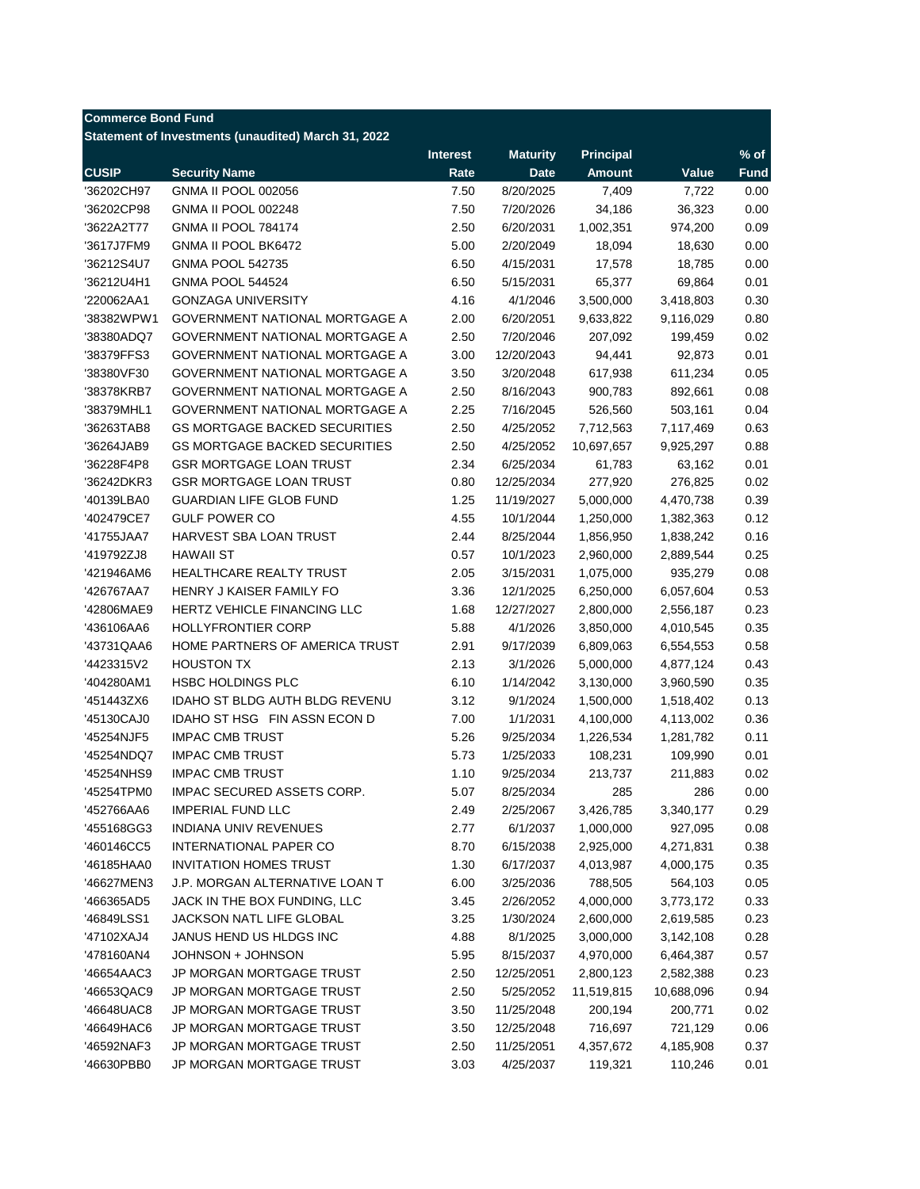| <b>Commerce Bond Fund</b> |                                                     |                 |                 |                  |            |             |
|---------------------------|-----------------------------------------------------|-----------------|-----------------|------------------|------------|-------------|
|                           | Statement of Investments (unaudited) March 31, 2022 |                 |                 |                  |            |             |
|                           |                                                     | <b>Interest</b> | <b>Maturity</b> | <b>Principal</b> |            | $%$ of      |
| <b>CUSIP</b>              | <b>Security Name</b>                                | Rate            | <b>Date</b>     | <b>Amount</b>    | Value      | <b>Fund</b> |
| '36202CH97                | <b>GNMA II POOL 002056</b>                          | 7.50            | 8/20/2025       | 7,409            | 7,722      | 0.00        |
| '36202CP98                | <b>GNMA II POOL 002248</b>                          | 7.50            | 7/20/2026       | 34,186           | 36,323     | 0.00        |
| '3622A2T77                | <b>GNMA II POOL 784174</b>                          | 2.50            | 6/20/2031       | 1,002,351        | 974,200    | 0.09        |
| '3617J7FM9                | GNMA II POOL BK6472                                 | 5.00            | 2/20/2049       | 18,094           | 18,630     | 0.00        |
| '36212S4U7                | <b>GNMA POOL 542735</b>                             | 6.50            | 4/15/2031       | 17,578           | 18,785     | 0.00        |
| '36212U4H1                | <b>GNMA POOL 544524</b>                             | 6.50            | 5/15/2031       | 65,377           | 69,864     | 0.01        |
| '220062AA1                | <b>GONZAGA UNIVERSITY</b>                           | 4.16            | 4/1/2046        | 3,500,000        | 3,418,803  | 0.30        |
| '38382WPW1                | GOVERNMENT NATIONAL MORTGAGE A                      | 2.00            | 6/20/2051       | 9,633,822        | 9,116,029  | 0.80        |
| '38380ADQ7                | GOVERNMENT NATIONAL MORTGAGE A                      | 2.50            | 7/20/2046       | 207,092          | 199,459    | 0.02        |
| '38379FFS3                | GOVERNMENT NATIONAL MORTGAGE A                      | 3.00            | 12/20/2043      | 94,441           | 92,873     | 0.01        |
| '38380VF30                | GOVERNMENT NATIONAL MORTGAGE A                      | 3.50            | 3/20/2048       | 617,938          | 611,234    | 0.05        |
| '38378KRB7                | GOVERNMENT NATIONAL MORTGAGE A                      | 2.50            | 8/16/2043       | 900,783          | 892,661    | 0.08        |
| '38379MHL1                | GOVERNMENT NATIONAL MORTGAGE A                      | 2.25            | 7/16/2045       | 526,560          | 503,161    | 0.04        |
| '36263TAB8                | <b>GS MORTGAGE BACKED SECURITIES</b>                | 2.50            | 4/25/2052       | 7,712,563        | 7,117,469  | 0.63        |
| '36264JAB9                | <b>GS MORTGAGE BACKED SECURITIES</b>                | 2.50            | 4/25/2052       | 10,697,657       | 9,925,297  | 0.88        |
| '36228F4P8                | <b>GSR MORTGAGE LOAN TRUST</b>                      | 2.34            | 6/25/2034       | 61,783           | 63,162     | 0.01        |
| '36242DKR3                | <b>GSR MORTGAGE LOAN TRUST</b>                      | 0.80            | 12/25/2034      | 277,920          | 276,825    | 0.02        |
| '40139LBA0                | <b>GUARDIAN LIFE GLOB FUND</b>                      | 1.25            | 11/19/2027      | 5,000,000        | 4,470,738  | 0.39        |
| '402479CE7                | <b>GULF POWER CO</b>                                | 4.55            | 10/1/2044       | 1,250,000        | 1,382,363  | 0.12        |
| '41755JAA7                | HARVEST SBA LOAN TRUST                              | 2.44            | 8/25/2044       | 1,856,950        | 1,838,242  | 0.16        |
| '419792ZJ8                | <b>HAWAII ST</b>                                    | 0.57            | 10/1/2023       | 2,960,000        | 2,889,544  | 0.25        |
| '421946AM6                | <b>HEALTHCARE REALTY TRUST</b>                      | 2.05            | 3/15/2031       | 1,075,000        | 935,279    | 0.08        |
| '426767AA7                | HENRY J KAISER FAMILY FO                            | 3.36            | 12/1/2025       | 6,250,000        | 6,057,604  | 0.53        |
| '42806MAE9                | <b>HERTZ VEHICLE FINANCING LLC</b>                  | 1.68            | 12/27/2027      | 2,800,000        | 2,556,187  | 0.23        |
| '436106AA6                | <b>HOLLYFRONTIER CORP</b>                           | 5.88            | 4/1/2026        | 3,850,000        | 4,010,545  | 0.35        |
| '43731QAA6                | HOME PARTNERS OF AMERICA TRUST                      | 2.91            | 9/17/2039       | 6,809,063        | 6,554,553  | 0.58        |
| '4423315V2                | <b>HOUSTON TX</b>                                   | 2.13            | 3/1/2026        | 5,000,000        | 4,877,124  | 0.43        |
| '404280AM1                | <b>HSBC HOLDINGS PLC</b>                            | 6.10            | 1/14/2042       | 3,130,000        | 3,960,590  | 0.35        |
| '451443ZX6                | <b>IDAHO ST BLDG AUTH BLDG REVENU</b>               | 3.12            | 9/1/2024        | 1,500,000        | 1,518,402  | 0.13        |
| '45130CAJ0                | IDAHO ST HSG FIN ASSN ECON D                        | 7.00            | 1/1/2031        | 4,100,000        | 4,113,002  | 0.36        |
| '45254NJF5                | <b>IMPAC CMB TRUST</b>                              | 5.26            | 9/25/2034       | 1,226,534        | 1,281,782  | 0.11        |
| '45254NDQ7                | <b>IMPAC CMB TRUST</b>                              | 5.73            | 1/25/2033       | 108,231          | 109,990    | 0.01        |
| '45254NHS9                | <b>IMPAC CMB TRUST</b>                              | 1.10            | 9/25/2034       | 213,737          | 211,883    | 0.02        |
| '45254TPM0                | IMPAC SECURED ASSETS CORP.                          | 5.07            | 8/25/2034       | 285              | 286        | 0.00        |
| '452766AA6                | <b>IMPERIAL FUND LLC</b>                            | 2.49            | 2/25/2067       | 3,426,785        | 3,340,177  | 0.29        |
| '455168GG3                | <b>INDIANA UNIV REVENUES</b>                        | 2.77            | 6/1/2037        | 1,000,000        | 927,095    | 0.08        |
| '460146CC5                | <b>INTERNATIONAL PAPER CO</b>                       | 8.70            | 6/15/2038       | 2,925,000        | 4,271,831  | 0.38        |
| '46185HAA0                | <b>INVITATION HOMES TRUST</b>                       | 1.30            | 6/17/2037       | 4,013,987        | 4,000,175  | 0.35        |
| '46627MEN3                | J.P. MORGAN ALTERNATIVE LOAN T                      | 6.00            | 3/25/2036       | 788,505          | 564,103    | 0.05        |
| '466365AD5                | JACK IN THE BOX FUNDING, LLC                        | 3.45            | 2/26/2052       | 4,000,000        | 3,773,172  | 0.33        |
| '46849LSS1                | JACKSON NATL LIFE GLOBAL                            | 3.25            | 1/30/2024       | 2,600,000        | 2,619,585  | 0.23        |
| '47102XAJ4                | JANUS HEND US HLDGS INC                             | 4.88            | 8/1/2025        | 3,000,000        | 3,142,108  | 0.28        |
| '478160AN4                | JOHNSON + JOHNSON                                   | 5.95            | 8/15/2037       | 4,970,000        | 6,464,387  | 0.57        |
| '46654AAC3                | JP MORGAN MORTGAGE TRUST                            | 2.50            | 12/25/2051      | 2,800,123        | 2,582,388  | 0.23        |
| '46653QAC9                | JP MORGAN MORTGAGE TRUST                            | 2.50            | 5/25/2052       | 11,519,815       | 10,688,096 | 0.94        |
| '46648UAC8                | JP MORGAN MORTGAGE TRUST                            | 3.50            | 11/25/2048      | 200,194          | 200,771    | 0.02        |
| '46649HAC6                | JP MORGAN MORTGAGE TRUST                            | 3.50            | 12/25/2048      | 716,697          | 721,129    | 0.06        |
| '46592NAF3                | JP MORGAN MORTGAGE TRUST                            | 2.50            | 11/25/2051      | 4,357,672        | 4,185,908  | 0.37        |
| '46630PBB0                | JP MORGAN MORTGAGE TRUST                            | 3.03            | 4/25/2037       | 119,321          | 110,246    | 0.01        |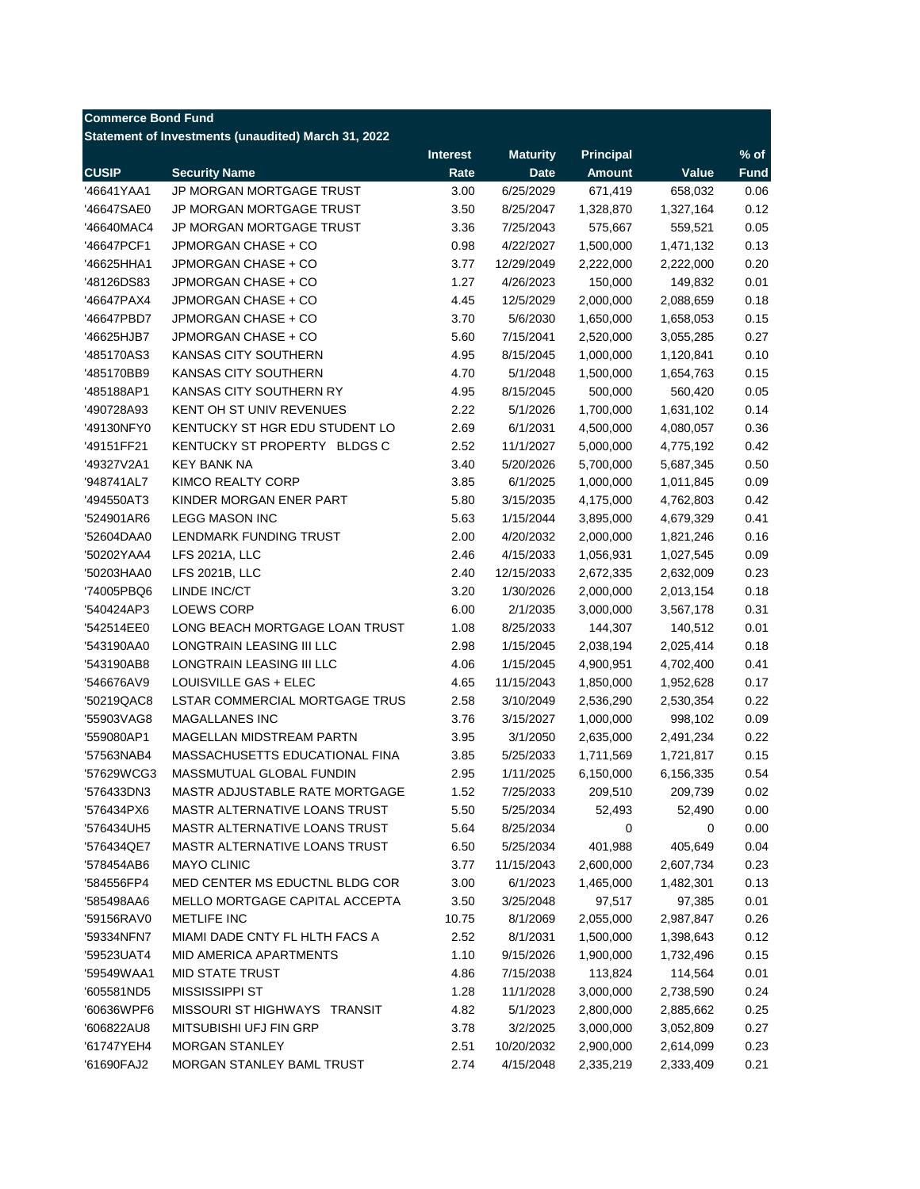| <b>Commerce Bond Fund</b> |                                                      |                 |                       |                  |                     |             |
|---------------------------|------------------------------------------------------|-----------------|-----------------------|------------------|---------------------|-------------|
|                           | Statement of Investments (unaudited) March 31, 2022  |                 |                       |                  |                     |             |
|                           |                                                      | <b>Interest</b> | <b>Maturity</b>       | <b>Principal</b> |                     | $%$ of      |
| <b>CUSIP</b>              | <b>Security Name</b>                                 | Rate            | <b>Date</b>           | <b>Amount</b>    | Value               | <b>Fund</b> |
| '46641YAA1                | JP MORGAN MORTGAGE TRUST                             | 3.00            | 6/25/2029             | 671,419          | 658,032             | 0.06        |
| '46647SAE0                | JP MORGAN MORTGAGE TRUST                             | 3.50            | 8/25/2047             | 1,328,870        | 1,327,164           | 0.12        |
| '46640MAC4                | JP MORGAN MORTGAGE TRUST                             | 3.36            | 7/25/2043             | 575,667          | 559,521             | 0.05        |
| '46647PCF1                | JPMORGAN CHASE + CO                                  | 0.98            | 4/22/2027             | 1,500,000        | 1,471,132           | 0.13        |
| '46625HHA1                | JPMORGAN CHASE + CO                                  | 3.77            | 12/29/2049            | 2,222,000        | 2,222,000           | 0.20        |
| '48126DS83                | JPMORGAN CHASE + CO                                  | 1.27            | 4/26/2023             | 150,000          | 149,832             | 0.01        |
| '46647PAX4                | JPMORGAN CHASE + CO                                  | 4.45            | 12/5/2029             | 2,000,000        | 2,088,659           | 0.18        |
| '46647PBD7                | JPMORGAN CHASE + CO                                  | 3.70            | 5/6/2030              | 1,650,000        | 1,658,053           | 0.15        |
| '46625HJB7                | JPMORGAN CHASE + CO                                  | 5.60            | 7/15/2041             | 2,520,000        | 3,055,285           | 0.27        |
| '485170AS3                | KANSAS CITY SOUTHERN                                 | 4.95            | 8/15/2045             | 1,000,000        | 1,120,841           | 0.10        |
| '485170BB9                | KANSAS CITY SOUTHERN                                 | 4.70            | 5/1/2048              | 1,500,000        | 1,654,763           | 0.15        |
| '485188AP1                | KANSAS CITY SOUTHERN RY                              | 4.95            | 8/15/2045             | 500,000          | 560,420             | 0.05        |
| '490728A93                | KENT OH ST UNIV REVENUES                             | 2.22            | 5/1/2026              | 1,700,000        | 1,631,102           | 0.14        |
| '49130NFY0                | KENTUCKY ST HGR EDU STUDENT LO                       | 2.69            | 6/1/2031              | 4,500,000        | 4,080,057           | 0.36        |
| '49151FF21                | KENTUCKY ST PROPERTY BLDGS C                         | 2.52            | 11/1/2027             | 5,000,000        | 4,775,192           | 0.42        |
| '49327V2A1                | <b>KEY BANK NA</b>                                   | 3.40            | 5/20/2026             | 5,700,000        | 5,687,345           | 0.50        |
| '948741AL7                | KIMCO REALTY CORP                                    | 3.85            | 6/1/2025              | 1,000,000        | 1,011,845           | 0.09        |
| '494550AT3                | KINDER MORGAN ENER PART                              | 5.80            | 3/15/2035             | 4,175,000        | 4,762,803           | 0.42        |
| '524901AR6                | <b>LEGG MASON INC</b>                                | 5.63            | 1/15/2044             | 3,895,000        | 4,679,329           | 0.41        |
| '52604DAA0                | LENDMARK FUNDING TRUST                               | 2.00            | 4/20/2032             | 2,000,000        | 1,821,246           | 0.16        |
| '50202YAA4                | <b>LFS 2021A, LLC</b>                                | 2.46            | 4/15/2033             | 1,056,931        | 1,027,545           | 0.09        |
| '50203HAA0                | LFS 2021B, LLC                                       | 2.40            | 12/15/2033            | 2,672,335        | 2,632,009           | 0.23        |
| '74005PBQ6                | LINDE INC/CT                                         | 3.20            | 1/30/2026             | 2,000,000        | 2,013,154           | 0.18        |
| '540424AP3                | <b>LOEWS CORP</b>                                    | 6.00            | 2/1/2035              | 3,000,000        | 3,567,178           | 0.31        |
| '542514EE0                | LONG BEACH MORTGAGE LOAN TRUST                       | 1.08            | 8/25/2033             | 144,307          | 140,512             | 0.01        |
| '543190AA0                | LONGTRAIN LEASING III LLC                            | 2.98            | 1/15/2045             | 2,038,194        | 2,025,414           | 0.18        |
| '543190AB8                | LONGTRAIN LEASING III LLC                            | 4.06            | 1/15/2045             | 4,900,951        | 4,702,400           | 0.41        |
| '546676AV9                | LOUISVILLE GAS + ELEC                                | 4.65            | 11/15/2043            | 1,850,000        | 1,952,628           | 0.17        |
| '50219QAC8                | LSTAR COMMERCIAL MORTGAGE TRUS                       | 2.58            | 3/10/2049             | 2,536,290        | 2,530,354           | 0.22        |
| '55903VAG8                | <b>MAGALLANES INC</b>                                | 3.76            | 3/15/2027             | 1,000,000        | 998,102             | 0.09        |
| '559080AP1                | <b>MAGELLAN MIDSTREAM PARTN</b>                      | 3.95            | 3/1/2050              | 2,635,000        | 2,491,234           | 0.22        |
| '57563NAB4                | <b>MASSACHUSETTS EDUCATIONAL FINA</b>                | 3.85            | 5/25/2033             | 1,711,569        | 1,721,817           | 0.15        |
| '57629WCG3                | MASSMUTUAL GLOBAL FUNDIN                             | 2.95            | 1/11/2025             | 6,150,000        | 6,156,335           | 0.54        |
| '576433DN3                | MASTR ADJUSTABLE RATE MORTGAGE                       | 1.52            | 7/25/2033             | 209,510          | 209,739             | 0.02        |
| '576434PX6                | MASTR ALTERNATIVE LOANS TRUST                        | 5.50            | 5/25/2034             | 52,493           | 52,490              | 0.00        |
| '576434UH5                | MASTR ALTERNATIVE LOANS TRUST                        | 5.64            | 8/25/2034             | 0                | 0                   | 0.00        |
| '576434QE7                | MASTR ALTERNATIVE LOANS TRUST                        | 6.50            | 5/25/2034             | 401,988          | 405,649             | 0.04        |
| '578454AB6                | <b>MAYO CLINIC</b>                                   | 3.77            | 11/15/2043            | 2,600,000        | 2,607,734           | 0.23        |
| '584556FP4                | MED CENTER MS EDUCTNL BLDG COR                       | 3.00            | 6/1/2023              |                  |                     | 0.13        |
|                           | MELLO MORTGAGE CAPITAL ACCEPTA                       | 3.50            |                       | 1,465,000        | 1,482,301           |             |
| '585498AA6<br>'59156RAV0  |                                                      |                 | 3/25/2048<br>8/1/2069 | 97,517           | 97,385<br>2,987,847 | 0.01        |
|                           | <b>METLIFE INC</b><br>MIAMI DADE CNTY FL HLTH FACS A | 10.75           |                       | 2,055,000        |                     | 0.26        |
| '59334NFN7                |                                                      | 2.52            | 8/1/2031              | 1,500,000        | 1,398,643           | 0.12        |
| '59523UAT4                | <b>MID AMERICA APARTMENTS</b>                        | 1.10            | 9/15/2026             | 1,900,000        | 1,732,496           | 0.15        |
| '59549WAA1                | <b>MID STATE TRUST</b>                               | 4.86            | 7/15/2038             | 113,824          | 114,564             | 0.01        |
| '605581ND5                | <b>MISSISSIPPI ST</b>                                | 1.28            | 11/1/2028             | 3,000,000        | 2,738,590           | 0.24        |
| '60636WPF6                | MISSOURI ST HIGHWAYS TRANSIT                         | 4.82            | 5/1/2023              | 2,800,000        | 2,885,662           | 0.25        |
| '606822AU8                | MITSUBISHI UFJ FIN GRP                               | 3.78            | 3/2/2025              | 3,000,000        | 3,052,809           | 0.27        |
| '61747YEH4                | MORGAN STANLEY                                       | 2.51            | 10/20/2032            | 2,900,000        | 2,614,099           | 0.23        |
| '61690FAJ2                | MORGAN STANLEY BAML TRUST                            | 2.74            | 4/15/2048             | 2,335,219        | 2,333,409           | 0.21        |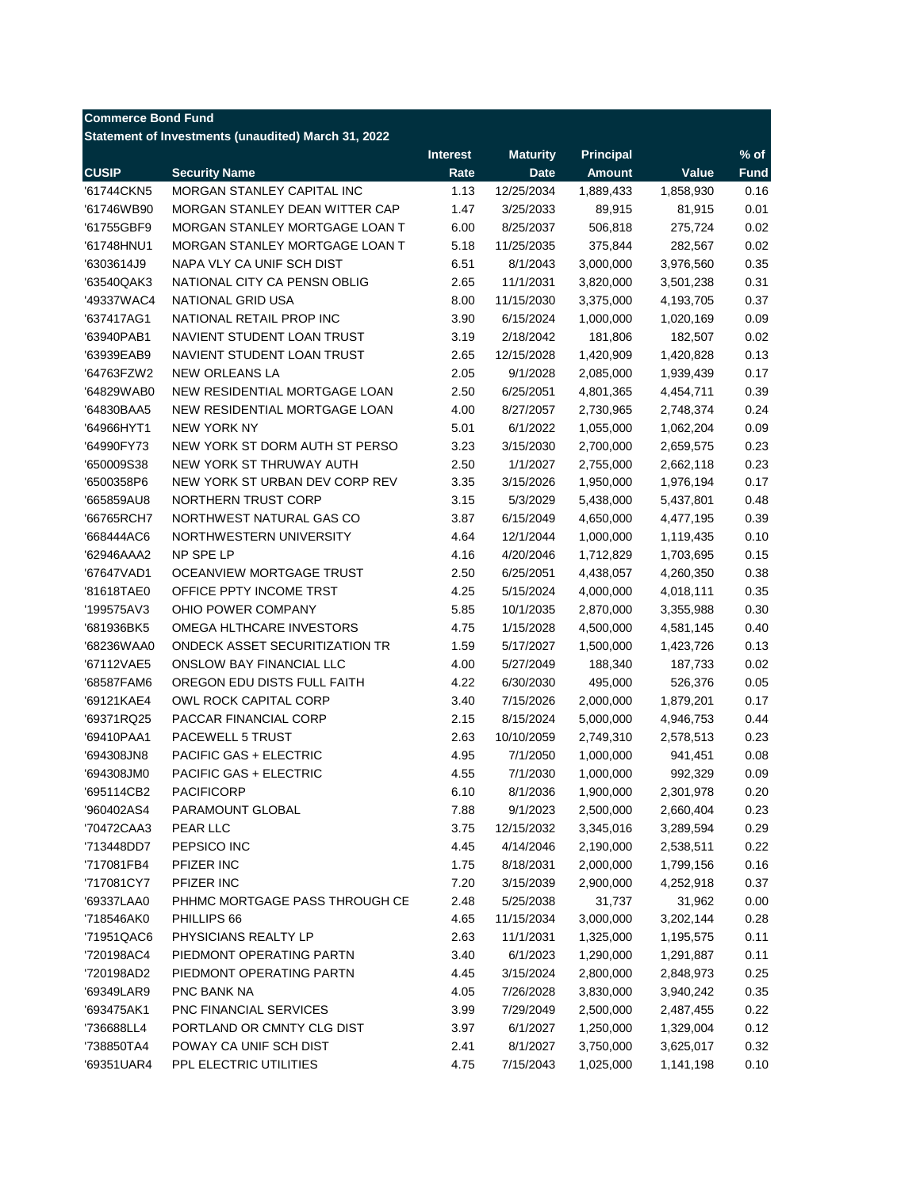| <b>Commerce Bond Fund</b> |                                                     |                 |                      |                  |           |             |
|---------------------------|-----------------------------------------------------|-----------------|----------------------|------------------|-----------|-------------|
|                           | Statement of Investments (unaudited) March 31, 2022 |                 |                      |                  |           |             |
|                           |                                                     | <b>Interest</b> | <b>Maturity</b>      | <b>Principal</b> |           | $%$ of      |
| <b>CUSIP</b>              | <b>Security Name</b>                                | Rate            | <b>Date</b>          | <b>Amount</b>    | Value     | <b>Fund</b> |
| '61744CKN5                | MORGAN STANLEY CAPITAL INC                          | 1.13            | 12/25/2034           | 1,889,433        | 1,858,930 | 0.16        |
| '61746WB90                | MORGAN STANLEY DEAN WITTER CAP                      | 1.47            | 3/25/2033            | 89,915           | 81,915    | 0.01        |
| '61755GBF9                | MORGAN STANLEY MORTGAGE LOAN T                      | 6.00            | 8/25/2037            | 506,818          | 275,724   | 0.02        |
| '61748HNU1                | MORGAN STANLEY MORTGAGE LOAN T                      | 5.18            | 11/25/2035           | 375,844          | 282,567   | 0.02        |
| '6303614J9                | NAPA VLY CA UNIF SCH DIST                           | 6.51            | 8/1/2043             | 3,000,000        | 3,976,560 | 0.35        |
| '63540QAK3                | NATIONAL CITY CA PENSN OBLIG                        | 2.65            | 11/1/2031            | 3,820,000        | 3,501,238 | 0.31        |
| '49337WAC4                | NATIONAL GRID USA                                   | 8.00            | 11/15/2030           | 3,375,000        | 4,193,705 | 0.37        |
| '637417AG1                | NATIONAL RETAIL PROP INC                            | 3.90            | 6/15/2024            | 1,000,000        | 1,020,169 | 0.09        |
| '63940PAB1                | NAVIENT STUDENT LOAN TRUST                          | 3.19            | 2/18/2042            | 181,806          | 182,507   | 0.02        |
| '63939EAB9                | NAVIENT STUDENT LOAN TRUST                          | 2.65            | 12/15/2028           | 1,420,909        | 1,420,828 | 0.13        |
| '64763FZW2                | NEW ORLEANS LA                                      | 2.05            | 9/1/2028             | 2,085,000        | 1,939,439 | 0.17        |
| '64829WAB0                | NEW RESIDENTIAL MORTGAGE LOAN                       | 2.50            | 6/25/2051            | 4,801,365        | 4,454,711 | 0.39        |
| '64830BAA5                | NEW RESIDENTIAL MORTGAGE LOAN                       | 4.00            | 8/27/2057            | 2,730,965        | 2,748,374 | 0.24        |
| '64966HYT1                | <b>NEW YORK NY</b>                                  | 5.01            | 6/1/2022             | 1,055,000        | 1,062,204 | 0.09        |
| '64990FY73                | NEW YORK ST DORM AUTH ST PERSO                      | 3.23            | 3/15/2030            | 2,700,000        | 2,659,575 | 0.23        |
| '650009S38                | NEW YORK ST THRUWAY AUTH                            | 2.50            | 1/1/2027             | 2,755,000        | 2,662,118 | 0.23        |
| '6500358P6                | NEW YORK ST URBAN DEV CORP REV                      | 3.35            | 3/15/2026            | 1,950,000        | 1,976,194 | 0.17        |
| '665859AU8                | NORTHERN TRUST CORP                                 | 3.15            | 5/3/2029             | 5,438,000        | 5,437,801 | 0.48        |
| '66765RCH7                | NORTHWEST NATURAL GAS CO                            | 3.87            | 6/15/2049            | 4,650,000        | 4,477,195 | 0.39        |
| '668444AC6                | NORTHWESTERN UNIVERSITY                             | 4.64            | 12/1/2044            | 1,000,000        | 1,119,435 | 0.10        |
| '62946AAA2                | NP SPE LP                                           | 4.16            | 4/20/2046            | 1,712,829        | 1,703,695 | 0.15        |
| '67647VAD1                | OCEANVIEW MORTGAGE TRUST                            | 2.50            | 6/25/2051            | 4,438,057        | 4,260,350 | 0.38        |
| '81618TAE0                | OFFICE PPTY INCOME TRST                             | 4.25            | 5/15/2024            | 4,000,000        | 4,018,111 | 0.35        |
| '199575AV3                | OHIO POWER COMPANY                                  | 5.85            | 10/1/2035            | 2,870,000        | 3,355,988 | 0.30        |
| '681936BK5                | OMEGA HLTHCARE INVESTORS                            | 4.75            | 1/15/2028            | 4,500,000        | 4,581,145 | 0.40        |
| '68236WAA0                | <b>ONDECK ASSET SECURITIZATION TR</b>               | 1.59            | 5/17/2027            | 1,500,000        | 1,423,726 | 0.13        |
| '67112VAE5                | ONSLOW BAY FINANCIAL LLC                            | 4.00            | 5/27/2049            | 188,340          | 187,733   | 0.02        |
| '68587FAM6                | OREGON EDU DISTS FULL FAITH                         | 4.22            | 6/30/2030            | 495,000          | 526,376   | 0.05        |
| '69121KAE4                | OWL ROCK CAPITAL CORP                               | 3.40            | 7/15/2026            | 2,000,000        | 1,879,201 | 0.17        |
| '69371RQ25                | PACCAR FINANCIAL CORP                               | 2.15            | 8/15/2024            | 5,000,000        | 4,946,753 | 0.44        |
| '69410PAA1                | <b>PACEWELL 5 TRUST</b>                             | 2.63            | 10/10/2059           | 2,749,310        | 2,578,513 | 0.23        |
| '694308JN8                | PACIFIC GAS + ELECTRIC                              | 4.95            |                      |                  |           | 0.08        |
|                           | PACIFIC GAS + ELECTRIC                              |                 | 7/1/2050             | 1,000,000        | 941,451   | 0.09        |
| '694308JM0                | <b>PACIFICORP</b>                                   | 4.55<br>6.10    | 7/1/2030<br>8/1/2036 | 1,000,000        | 992,329   |             |
| '695114CB2                |                                                     |                 | 9/1/2023             | 1,900,000        | 2,301,978 | 0.20        |
| '960402AS4                | PARAMOUNT GLOBAL                                    | 7.88            |                      | 2,500,000        | 2,660,404 | 0.23        |
| '70472CAA3                | PEAR LLC                                            | 3.75            | 12/15/2032           | 3,345,016        | 3,289,594 | 0.29        |
| '713448DD7                | PEPSICO INC                                         | 4.45            | 4/14/2046            | 2,190,000        | 2,538,511 | 0.22        |
| '717081FB4                | PFIZER INC                                          | 1.75            | 8/18/2031            | 2,000,000        | 1,799,156 | 0.16        |
| '717081CY7                | PFIZER INC                                          | 7.20            | 3/15/2039            | 2,900,000        | 4,252,918 | 0.37        |
| '69337LAA0                | PHHMC MORTGAGE PASS THROUGH CE                      | 2.48            | 5/25/2038            | 31,737           | 31,962    | 0.00        |
| '718546AK0                | PHILLIPS 66                                         | 4.65            | 11/15/2034           | 3,000,000        | 3,202,144 | 0.28        |
| '71951QAC6                | PHYSICIANS REALTY LP                                | 2.63            | 11/1/2031            | 1,325,000        | 1,195,575 | 0.11        |
| '720198AC4                | PIEDMONT OPERATING PARTN                            | 3.40            | 6/1/2023             | 1,290,000        | 1,291,887 | 0.11        |
| '720198AD2                | PIEDMONT OPERATING PARTN                            | 4.45            | 3/15/2024            | 2,800,000        | 2,848,973 | 0.25        |
| '69349LAR9                | PNC BANK NA                                         | 4.05            | 7/26/2028            | 3,830,000        | 3,940,242 | 0.35        |
| '693475AK1                | PNC FINANCIAL SERVICES                              | 3.99            | 7/29/2049            | 2,500,000        | 2,487,455 | 0.22        |
| '736688LL4                | PORTLAND OR CMNTY CLG DIST                          | 3.97            | 6/1/2027             | 1,250,000        | 1,329,004 | 0.12        |
| '738850TA4                | POWAY CA UNIF SCH DIST                              | 2.41            | 8/1/2027             | 3,750,000        | 3,625,017 | 0.32        |
| '69351UAR4                | PPL ELECTRIC UTILITIES                              | 4.75            | 7/15/2043            | 1,025,000        | 1,141,198 | 0.10        |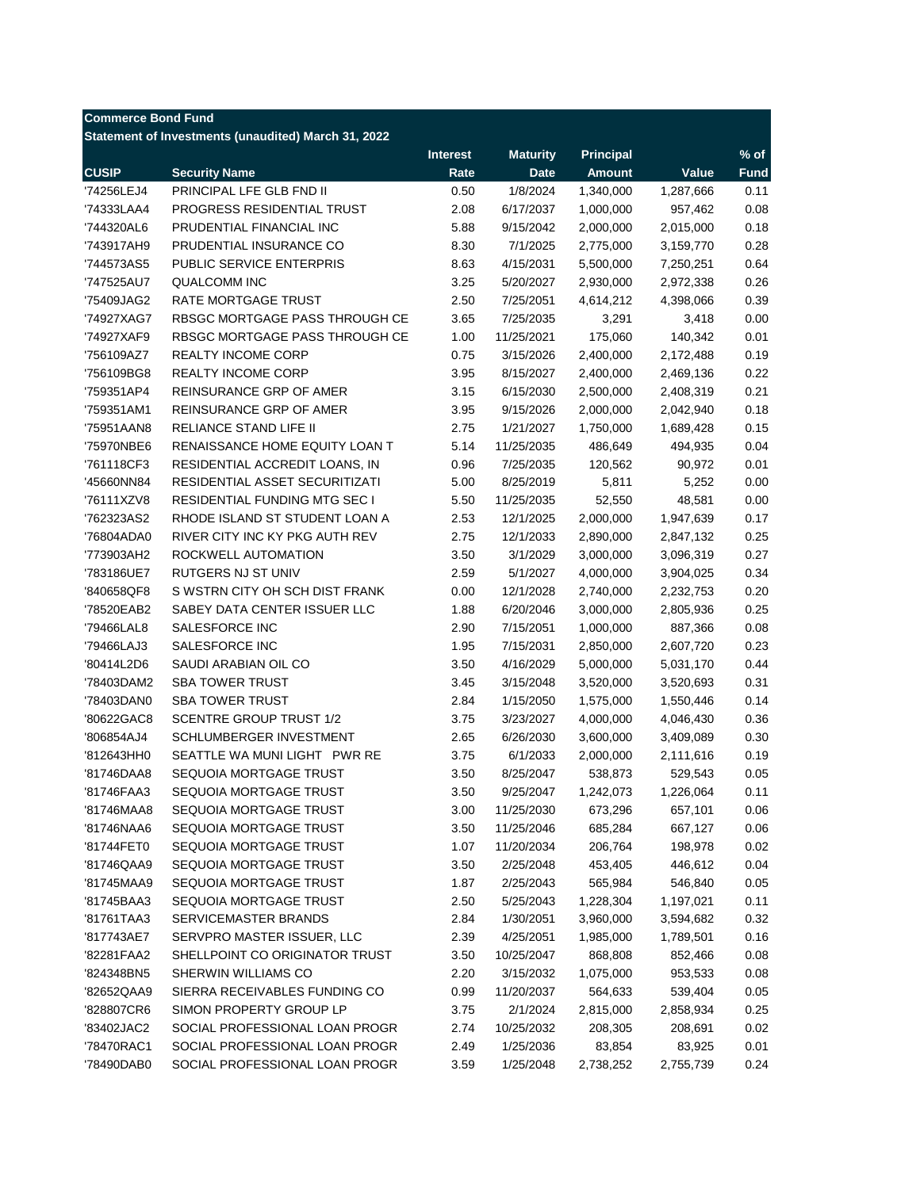| <b>Commerce Bond Fund</b> |                                                     |                 |                 |                  |           |             |
|---------------------------|-----------------------------------------------------|-----------------|-----------------|------------------|-----------|-------------|
|                           | Statement of Investments (unaudited) March 31, 2022 |                 |                 |                  |           |             |
|                           |                                                     | <b>Interest</b> | <b>Maturity</b> | <b>Principal</b> |           | $%$ of      |
| <b>CUSIP</b>              | <b>Security Name</b>                                | Rate            | <b>Date</b>     | <b>Amount</b>    | Value     | <b>Fund</b> |
| '74256LEJ4                | PRINCIPAL LFE GLB FND II                            | 0.50            | 1/8/2024        | 1,340,000        | 1,287,666 | 0.11        |
| '74333LAA4                | <b>PROGRESS RESIDENTIAL TRUST</b>                   | 2.08            | 6/17/2037       | 1,000,000        | 957,462   | 0.08        |
| '744320AL6                | PRUDENTIAL FINANCIAL INC                            | 5.88            | 9/15/2042       | 2,000,000        | 2,015,000 | 0.18        |
| '743917AH9                | PRUDENTIAL INSURANCE CO                             | 8.30            | 7/1/2025        | 2,775,000        | 3,159,770 | 0.28        |
| '744573AS5                | <b>PUBLIC SERVICE ENTERPRIS</b>                     | 8.63            | 4/15/2031       | 5,500,000        | 7,250,251 | 0.64        |
| '747525AU7                | <b>QUALCOMM INC</b>                                 | 3.25            | 5/20/2027       | 2,930,000        | 2,972,338 | 0.26        |
| '75409JAG2                | RATE MORTGAGE TRUST                                 | 2.50            | 7/25/2051       | 4,614,212        | 4,398,066 | 0.39        |
| '74927XAG7                | RBSGC MORTGAGE PASS THROUGH CE                      | 3.65            | 7/25/2035       | 3,291            | 3,418     | 0.00        |
| '74927XAF9                | RBSGC MORTGAGE PASS THROUGH CE                      | 1.00            | 11/25/2021      | 175,060          | 140,342   | 0.01        |
| '756109AZ7                | <b>REALTY INCOME CORP</b>                           | 0.75            | 3/15/2026       | 2,400,000        | 2,172,488 | 0.19        |
| '756109BG8                | <b>REALTY INCOME CORP</b>                           | 3.95            | 8/15/2027       | 2,400,000        | 2,469,136 | 0.22        |
| '759351AP4                | REINSURANCE GRP OF AMER                             | 3.15            | 6/15/2030       | 2,500,000        | 2,408,319 | 0.21        |
| '759351AM1                | REINSURANCE GRP OF AMER                             | 3.95            | 9/15/2026       | 2,000,000        | 2,042,940 | 0.18        |
| '75951AAN8                | RELIANCE STAND LIFE II                              | 2.75            | 1/21/2027       | 1,750,000        | 1,689,428 | 0.15        |
| '75970NBE6                | RENAISSANCE HOME EQUITY LOAN T                      | 5.14            | 11/25/2035      | 486,649          | 494,935   | 0.04        |
| '761118CF3                | RESIDENTIAL ACCREDIT LOANS, IN                      | 0.96            | 7/25/2035       | 120,562          | 90,972    | 0.01        |
| '45660NN84                | RESIDENTIAL ASSET SECURITIZATI                      | 5.00            | 8/25/2019       | 5,811            | 5,252     | 0.00        |
| '76111XZV8                | RESIDENTIAL FUNDING MTG SEC I                       | 5.50            | 11/25/2035      | 52,550           | 48,581    | 0.00        |
| '762323AS2                | RHODE ISLAND ST STUDENT LOAN A                      | 2.53            | 12/1/2025       | 2,000,000        | 1,947,639 | 0.17        |
| '76804ADA0                | RIVER CITY INC KY PKG AUTH REV                      | 2.75            | 12/1/2033       | 2,890,000        | 2,847,132 | 0.25        |
| '773903AH2                | ROCKWELL AUTOMATION                                 | 3.50            | 3/1/2029        | 3,000,000        | 3,096,319 | 0.27        |
| '783186UE7                | RUTGERS NJ ST UNIV                                  | 2.59            | 5/1/2027        | 4,000,000        |           | 0.34        |
| '840658QF8                | S WSTRN CITY OH SCH DIST FRANK                      | 0.00            | 12/1/2028       | 2,740,000        | 3,904,025 | 0.20        |
|                           | SABEY DATA CENTER ISSUER LLC                        |                 |                 |                  | 2,232,753 |             |
| '78520EAB2                |                                                     | 1.88            | 6/20/2046       | 3,000,000        | 2,805,936 | 0.25        |
| '79466LAL8                | SALESFORCE INC                                      | 2.90            | 7/15/2051       | 1,000,000        | 887,366   | 0.08        |
| '79466LAJ3                | SALESFORCE INC                                      | 1.95            | 7/15/2031       | 2,850,000        | 2,607,720 | 0.23        |
| '80414L2D6                | SAUDI ARABIAN OIL CO                                | 3.50            | 4/16/2029       | 5,000,000        | 5,031,170 | 0.44        |
| '78403DAM2                | <b>SBA TOWER TRUST</b>                              | 3.45            | 3/15/2048       | 3,520,000        | 3,520,693 | 0.31        |
| '78403DAN0                | <b>SBA TOWER TRUST</b>                              | 2.84            | 1/15/2050       | 1,575,000        | 1,550,446 | 0.14        |
| '80622GAC8                | <b>SCENTRE GROUP TRUST 1/2</b>                      | 3.75            | 3/23/2027       | 4,000,000        | 4,046,430 | 0.36        |
| '806854AJ4                | <b>SCHLUMBERGER INVESTMENT</b>                      | 2.65            | 6/26/2030       | 3,600,000        | 3,409,089 | 0.30        |
| '812643HH0                | SEATTLE WA MUNI LIGHT PWR RE                        | 3.75            | 6/1/2033        | 2,000,000        | 2,111,616 | 0.19        |
| '81746DAA8                | SEQUOIA MORTGAGE TRUST                              | 3.50            | 8/25/2047       | 538,873          | 529,543   | 0.05        |
| '81746FAA3                | SEQUOIA MORTGAGE TRUST                              | 3.50            | 9/25/2047       | 1,242,073        | 1,226,064 | 0.11        |
| '81746MAA8                | SEQUOIA MORTGAGE TRUST                              | 3.00            | 11/25/2030      | 673,296          | 657,101   | 0.06        |
| '81746NAA6                | SEQUOIA MORTGAGE TRUST                              | 3.50            | 11/25/2046      | 685,284          | 667,127   | 0.06        |
| '81744FET0                | SEQUOIA MORTGAGE TRUST                              | 1.07            | 11/20/2034      | 206,764          | 198,978   | 0.02        |
| '81746QAA9                | SEQUOIA MORTGAGE TRUST                              | 3.50            | 2/25/2048       | 453,405          | 446,612   | 0.04        |
| '81745MAA9                | SEQUOIA MORTGAGE TRUST                              | 1.87            | 2/25/2043       | 565,984          | 546,840   | 0.05        |
| '81745BAA3                | SEQUOIA MORTGAGE TRUST                              | 2.50            | 5/25/2043       | 1,228,304        | 1,197,021 | 0.11        |
| '81761TAA3                | SERVICEMASTER BRANDS                                | 2.84            | 1/30/2051       | 3,960,000        | 3,594,682 | 0.32        |
| '817743AE7                | SERVPRO MASTER ISSUER, LLC                          | 2.39            | 4/25/2051       | 1,985,000        | 1,789,501 | 0.16        |
| '82281FAA2                | SHELLPOINT CO ORIGINATOR TRUST                      | 3.50            | 10/25/2047      | 868,808          | 852,466   | 0.08        |
| '824348BN5                | SHERWIN WILLIAMS CO                                 | 2.20            | 3/15/2032       | 1,075,000        | 953,533   | 0.08        |
| '82652QAA9                | SIERRA RECEIVABLES FUNDING CO                       | 0.99            | 11/20/2037      | 564,633          | 539,404   | 0.05        |
| '828807CR6                | SIMON PROPERTY GROUP LP                             | 3.75            | 2/1/2024        | 2,815,000        | 2,858,934 | 0.25        |
| '83402JAC2                | SOCIAL PROFESSIONAL LOAN PROGR                      | 2.74            | 10/25/2032      | 208,305          | 208,691   | 0.02        |
| '78470RAC1                | SOCIAL PROFESSIONAL LOAN PROGR                      | 2.49            | 1/25/2036       | 83,854           | 83,925    | 0.01        |
| '78490DAB0                | SOCIAL PROFESSIONAL LOAN PROGR                      | 3.59            | 1/25/2048       | 2,738,252        | 2,755,739 | 0.24        |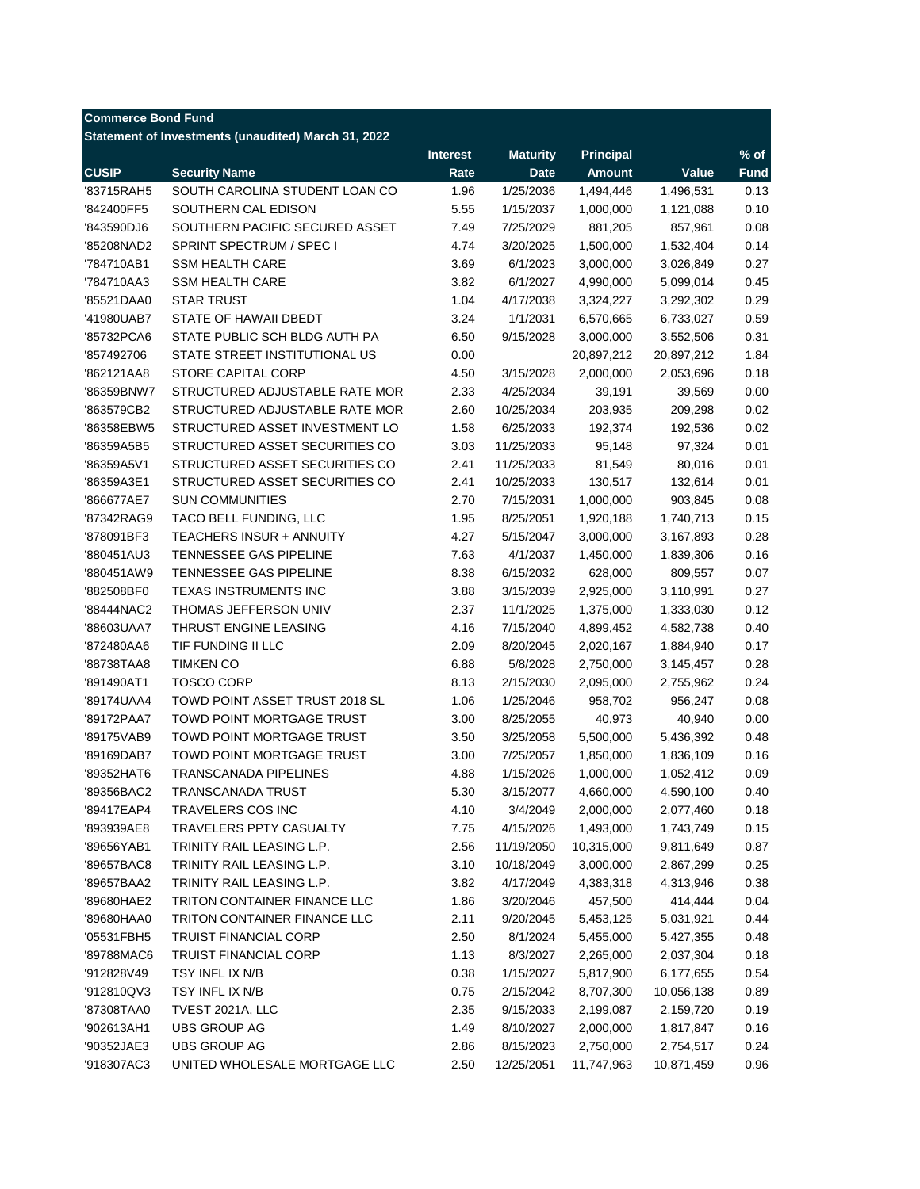| <b>Commerce Bond Fund</b> |                                                     |                 |                          |                         |            |             |
|---------------------------|-----------------------------------------------------|-----------------|--------------------------|-------------------------|------------|-------------|
|                           | Statement of Investments (unaudited) March 31, 2022 |                 |                          |                         |            |             |
|                           |                                                     | <b>Interest</b> | <b>Maturity</b>          | <b>Principal</b>        |            | $%$ of      |
| <b>CUSIP</b>              | <b>Security Name</b>                                | Rate            | <b>Date</b>              | <b>Amount</b>           | Value      | <b>Fund</b> |
| '83715RAH5                | SOUTH CAROLINA STUDENT LOAN CO                      | 1.96            | 1/25/2036                | 1,494,446               | 1,496,531  | 0.13        |
| '842400FF5                | SOUTHERN CAL EDISON                                 | 5.55            | 1/15/2037                | 1,000,000               | 1,121,088  | 0.10        |
| '843590DJ6                | SOUTHERN PACIFIC SECURED ASSET                      | 7.49            | 7/25/2029                | 881,205                 | 857,961    | 0.08        |
| '85208NAD2                | SPRINT SPECTRUM / SPEC I                            | 4.74            | 3/20/2025                | 1,500,000               | 1,532,404  | 0.14        |
| '784710AB1                | <b>SSM HEALTH CARE</b>                              | 3.69            | 6/1/2023                 | 3,000,000               | 3,026,849  | 0.27        |
| '784710AA3                | <b>SSM HEALTH CARE</b>                              | 3.82            | 6/1/2027                 | 4,990,000               | 5,099,014  | 0.45        |
| '85521DAA0                | <b>STAR TRUST</b>                                   | 1.04            | 4/17/2038                | 3,324,227               | 3,292,302  | 0.29        |
| '41980UAB7                | STATE OF HAWAII DBEDT                               | 3.24            | 1/1/2031                 | 6,570,665               | 6,733,027  | 0.59        |
| '85732PCA6                | STATE PUBLIC SCH BLDG AUTH PA                       | 6.50            | 9/15/2028                | 3,000,000               | 3,552,506  | 0.31        |
| '857492706                | STATE STREET INSTITUTIONAL US                       | 0.00            |                          | 20,897,212              | 20,897,212 | 1.84        |
| '862121AA8                | STORE CAPITAL CORP                                  | 4.50            | 3/15/2028                | 2,000,000               | 2,053,696  | 0.18        |
| '86359BNW7                | STRUCTURED ADJUSTABLE RATE MOR                      | 2.33            | 4/25/2034                | 39,191                  | 39,569     | 0.00        |
| '863579CB2                | STRUCTURED ADJUSTABLE RATE MOR                      | 2.60            | 10/25/2034               | 203,935                 | 209,298    | 0.02        |
| '86358EBW5                | STRUCTURED ASSET INVESTMENT LO                      | 1.58            | 6/25/2033                | 192,374                 | 192,536    | 0.02        |
| '86359A5B5                | STRUCTURED ASSET SECURITIES CO                      | 3.03            | 11/25/2033               | 95,148                  | 97,324     | 0.01        |
| '86359A5V1                | STRUCTURED ASSET SECURITIES CO                      | 2.41            | 11/25/2033               | 81,549                  | 80,016     | 0.01        |
| '86359A3E1                | STRUCTURED ASSET SECURITIES CO                      | 2.41            | 10/25/2033               | 130,517                 | 132,614    | 0.01        |
| '866677AE7                | <b>SUN COMMUNITIES</b>                              | 2.70            | 7/15/2031                | 1,000,000               | 903,845    | 0.08        |
| '87342RAG9                | TACO BELL FUNDING, LLC                              | 1.95            | 8/25/2051                | 1,920,188               | 1,740,713  | 0.15        |
| '878091BF3                | TEACHERS INSUR + ANNUITY                            | 4.27            | 5/15/2047                | 3,000,000               | 3,167,893  | 0.28        |
| '880451AU3                | TENNESSEE GAS PIPELINE                              | 7.63            | 4/1/2037                 | 1,450,000               | 1,839,306  | 0.16        |
| '880451AW9                | TENNESSEE GAS PIPELINE                              | 8.38            | 6/15/2032                | 628,000                 | 809,557    | 0.07        |
| '882508BF0                | TEXAS INSTRUMENTS INC                               | 3.88            | 3/15/2039                | 2,925,000               | 3,110,991  | 0.27        |
| '88444NAC2                | THOMAS JEFFERSON UNIV                               | 2.37            | 11/1/2025                | 1,375,000               | 1,333,030  | 0.12        |
| '88603UAA7                | THRUST ENGINE LEASING                               | 4.16            | 7/15/2040                | 4,899,452               | 4,582,738  | 0.40        |
| '872480AA6                | TIF FUNDING II LLC                                  | 2.09            | 8/20/2045                | 2,020,167               | 1,884,940  | 0.17        |
| '88738TAA8                | <b>TIMKEN CO</b>                                    | 6.88            | 5/8/2028                 | 2,750,000               | 3,145,457  | 0.28        |
| '891490AT1                | <b>TOSCO CORP</b>                                   | 8.13            | 2/15/2030                | 2,095,000               | 2,755,962  | 0.24        |
| '89174UAA4                | TOWD POINT ASSET TRUST 2018 SL                      | 1.06            | 1/25/2046                | 958,702                 | 956,247    | 0.08        |
| '89172PAA7                | TOWD POINT MORTGAGE TRUST                           | 3.00            | 8/25/2055                | 40,973                  | 40,940     | 0.00        |
| '89175VAB9                | TOWD POINT MORTGAGE TRUST                           | 3.50            | 3/25/2058                | 5,500,000               | 5,436,392  | 0.48        |
| '89169DAB7                | TOWD POINT MORTGAGE TRUST                           | 3.00            | 7/25/2057                | 1,850,000               | 1,836,109  | 0.16        |
| '89352HAT6                | <b>TRANSCANADA PIPELINES</b>                        | 4.88            | 1/15/2026                | 1,000,000               | 1,052,412  | 0.09        |
| '89356BAC2                | TRANSCANADA TRUST                                   | 5.30            | 3/15/2077                | 4,660,000               | 4,590,100  | 0.40        |
| '89417EAP4                | TRAVELERS COS INC                                   | 4.10            | 3/4/2049                 | 2,000,000               | 2,077,460  | 0.18        |
| '893939AE8                | <b>TRAVELERS PPTY CASUALTY</b>                      | 7.75            | 4/15/2026                |                         | 1,743,749  | 0.15        |
|                           | TRINITY RAIL LEASING L.P.                           | 2.56            |                          | 1,493,000<br>10,315,000 | 9,811,649  | 0.87        |
| '89656YAB1                | TRINITY RAIL LEASING L.P.                           | 3.10            | 11/19/2050<br>10/18/2049 |                         | 2,867,299  |             |
| '89657BAC8                |                                                     |                 |                          | 3,000,000               |            | 0.25        |
| '89657BAA2                | TRINITY RAIL LEASING L.P.                           | 3.82            | 4/17/2049                | 4,383,318               | 4,313,946  | 0.38        |
| '89680HAE2                | TRITON CONTAINER FINANCE LLC                        | 1.86            | 3/20/2046                | 457,500                 | 414,444    | 0.04        |
| '89680HAA0                | TRITON CONTAINER FINANCE LLC                        | 2.11            | 9/20/2045                | 5,453,125               | 5,031,921  | 0.44        |
| '05531FBH5                | <b>TRUIST FINANCIAL CORP</b>                        | 2.50            | 8/1/2024                 | 5,455,000               | 5,427,355  | 0.48        |
| '89788MAC6                | <b>TRUIST FINANCIAL CORP</b>                        | 1.13            | 8/3/2027                 | 2,265,000               | 2,037,304  | 0.18        |
| '912828V49                | TSY INFL IX N/B                                     | 0.38            | 1/15/2027                | 5,817,900               | 6,177,655  | 0.54        |
| '912810QV3                | TSY INFL IX N/B                                     | 0.75            | 2/15/2042                | 8,707,300               | 10,056,138 | 0.89        |
| '87308TAA0                | TVEST 2021A, LLC                                    | 2.35            | 9/15/2033                | 2,199,087               | 2,159,720  | 0.19        |
| '902613AH1                | <b>UBS GROUP AG</b>                                 | 1.49            | 8/10/2027                | 2,000,000               | 1,817,847  | 0.16        |
| '90352JAE3                | <b>UBS GROUP AG</b>                                 | 2.86            | 8/15/2023                | 2,750,000               | 2,754,517  | 0.24        |
| '918307AC3                | UNITED WHOLESALE MORTGAGE LLC                       | 2.50            | 12/25/2051               | 11,747,963              | 10,871,459 | 0.96        |